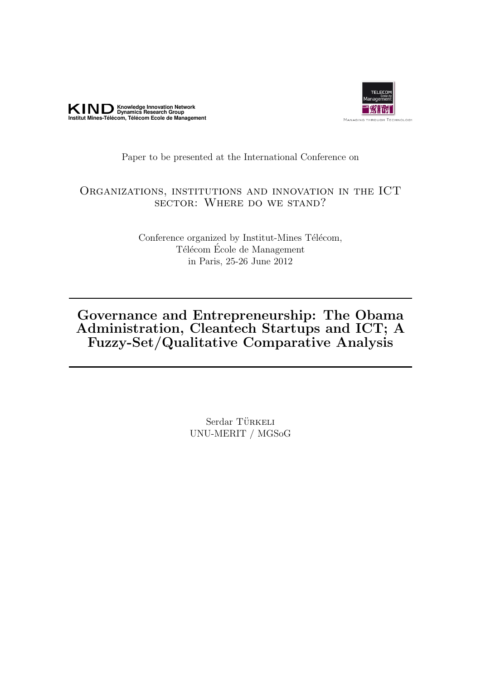



# Paper to be presented at the International Conference on

# Organizations, institutions and innovation in the ICT sector: Where do we stand?

Conference organized by Institut-Mines Télécom, Télécom École de Management in Paris, 25-26 June 2012

# Governance and Entrepreneurship: The Obama Administration, Cleantech Startups and ICT; A Fuzzy-Set/Qualitative Comparative Analysis

Serdar TÜRKELI UNU-MERIT / MGSoG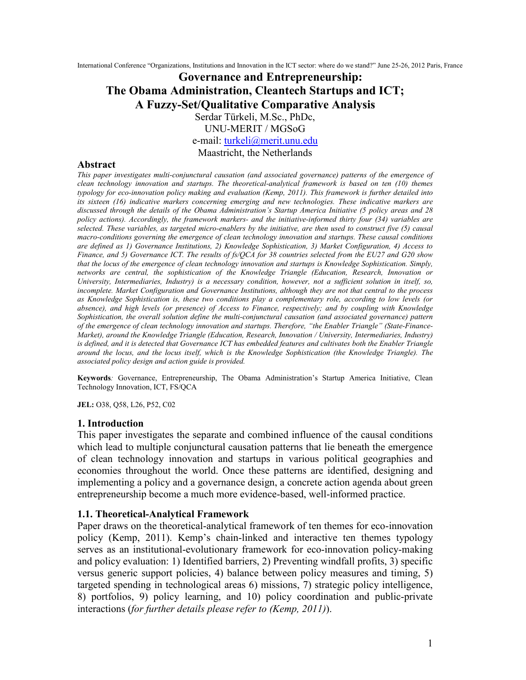International Conference "Organizations, Institutions and Innovation in the ICT sector: where do we stand?" June 25-26, 2012 Paris, France

# **Governance and Entrepreneurship: The Obama Administration, Cleantech Startups and ICT; A Fuzzy-Set/Qualitative Comparative Analysis**

Serdar Türkeli, M.Sc., PhDc,

UNU-MERIT / MGSoG

e-mail: [turkeli@merit.unu.edu](mailto:turkeli@merit.unu.edu)

Maastricht, the Netherlands

#### **Abstract**

*This paper investigates multi-conjunctural causation (and associated governance) patterns of the emergence of clean technology innovation and startups. The theoretical-analytical framework is based on ten (10) themes typology for eco-innovation policy making and evaluation (Kemp, 2011). This framework is further detailed into its sixteen (16) indicative markers concerning emerging and new technologies. These indicative markers are discussed through the details of the Obama Administration's Startup America Initiative (5 policy areas and 28 policy actions). Accordingly, the framework markers- and the initiative-informed thirty four (34) variables are selected. These variables, as targeted micro-enablers by the initiative, are then used to construct five (5) causal macro-conditions governing the emergence of clean technology innovation and startups. These causal conditions are defined as 1) Governance Institutions, 2) Knowledge Sophistication, 3) Market Configuration, 4) Access to Finance, and 5) Governance ICT. The results of fs/QCA for 38 countries selected from the EU27 and G20 show that the locus of the emergence of clean technology innovation and startups is Knowledge Sophistication. Simply, networks are central, the sophistication of the Knowledge Triangle (Education, Research, Innovation or University, Intermediaries, Industry) is a necessary condition, however, not a sufficient solution in itself, so, incomplete. Market Configuration and Governance Institutions, although they are not that central to the process as Knowledge Sophistication is, these two conditions play a complementary role, according to low levels (or absence), and high levels (or presence) of Access to Finance, respectively; and by coupling with Knowledge Sophistication, the overall solution define the multi-conjunctural causation (and associated governance) pattern of the emergence of clean technology innovation and startups. Therefore, "the Enabler Triangle" (State-Finance-Market), around the Knowledge Triangle (Education, Research, Innovation / University, Intermediaries, Industry)*  is defined, and it is detected that Governance ICT has embedded features and cultivates both the Enabler Triangle *around the locus, and the locus itself, which is the Knowledge Sophistication (the Knowledge Triangle). The associated policy design and action guide is provided.* 

**Keywords***:* Governance, Entrepreneurship, The Obama Administration's Startup America Initiative, Clean Technology Innovation, ICT, FS/QCA

**JEL:** O38, Q58, L26, P52, C02

#### **1. Introduction**

This paper investigates the separate and combined influence of the causal conditions which lead to multiple conjunctural causation patterns that lie beneath the emergence of clean technology innovation and startups in various political geographies and economies throughout the world. Once these patterns are identified, designing and implementing a policy and a governance design, a concrete action agenda about green entrepreneurship become a much more evidence-based, well-informed practice.

#### **1.1. Theoretical-Analytical Framework**

Paper draws on the theoretical-analytical framework of ten themes for eco-innovation policy (Kemp, 2011). Kemp's chain-linked and interactive ten themes typology serves as an institutional-evolutionary framework for eco-innovation policy-making and policy evaluation: 1) Identified barriers, 2) Preventing windfall profits, 3) specific versus generic support policies, 4) balance between policy measures and timing, 5) targeted spending in technological areas 6) missions, 7) strategic policy intelligence, 8) portfolios, 9) policy learning, and 10) policy coordination and public-private interactions (*for further details please refer to (Kemp, 2011)*).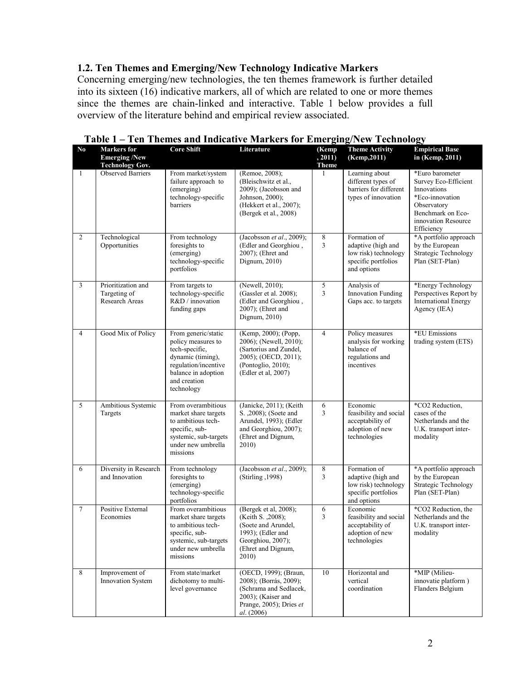# **1.2. Ten Themes and Emerging/New Technology Indicative Markers**

Concerning emerging/new technologies, the ten themes framework is further detailed into its sixteen (16) indicative markers, all of which are related to one or more themes since the themes are chain-linked and interactive. Table 1 below provides a full overview of the literature behind and empirical review associated.

| No.            | <b>Markers</b> for<br><b>Emerging /New</b><br><b>Technology Gov.</b> | <b>Core Shift</b>                                                                                                                                             | Literature                                                                                                                                    | (Kemp<br>, 2011)<br><b>Theme</b> | <b>Theme Activity</b><br>(Kemp, 2011)                                                            | <b>Empirical Base</b><br>in (Kemp, 2011)                                                                                                           |
|----------------|----------------------------------------------------------------------|---------------------------------------------------------------------------------------------------------------------------------------------------------------|-----------------------------------------------------------------------------------------------------------------------------------------------|----------------------------------|--------------------------------------------------------------------------------------------------|----------------------------------------------------------------------------------------------------------------------------------------------------|
| $\mathbf{1}$   | Observed Barriers                                                    | From market/system<br>failure approach to<br>(emerging)<br>technology-specific<br>barriers                                                                    | (Remoe, 2008);<br>(Bleischwitz et al.,<br>2009); (Jacobsson and<br>Johnson, 2000);<br>(Hekkert et al., 2007);<br>(Bergek et al., 2008)        | 1                                | Learning about<br>different types of<br>barriers for different<br>types of innovation            | *Euro barometer<br>Survey Eco-Efficient<br>Innovations<br>*Eco-innovation<br>Observatory<br>Benchmark on Eco-<br>innovation Resource<br>Efficiency |
| $\overline{2}$ | Technological<br>Opportunities                                       | From technology<br>foresights to<br>(emerging)<br>technology-specific<br>portfolios                                                                           | (Jacobsson et al., 2009);<br>(Edler and Georghiou,<br>2007); (Ehret and<br>Dignum, 2010)                                                      | $\,8\,$<br>3                     | Formation of<br>adaptive (high and<br>low risk) technology<br>specific portfolios<br>and options | *A portfolio approach<br>by the European<br>Strategic Technology<br>Plan (SET-Plan)                                                                |
| 3              | Prioritization and<br>Targeting of<br>Research Areas                 | From targets to<br>technology-specific<br>R&D / innovation<br>funding gaps                                                                                    | (Newell, 2010);<br>(Gassler et al. 2008);<br>(Edler and Georghiou,<br>2007); (Ehret and<br>Dignum, 2010)                                      | 5<br>3                           | Analysis of<br><b>Innovation Funding</b><br>Gaps acc. to targets                                 | *Energy Technology<br>Perspectives Report by<br><b>International Energy</b><br>Agency (IEA)                                                        |
| $\overline{4}$ | Good Mix of Policy                                                   | From generic/static<br>policy measures to<br>tech-specific,<br>dynamic (timing),<br>regulation/incentive<br>balance in adoption<br>and creation<br>technology | (Kemp, 2000); (Popp,<br>2006), (Newell, 2010),<br>(Sartorius and Zundel,<br>2005); (OECD, 2011);<br>(Pontoglio, 2010);<br>(Edler et al, 2007) | $\overline{4}$                   | Policy measures<br>analysis for working<br>balance of<br>regulations and<br>incentives           | *EU Emissions<br>trading system (ETS)                                                                                                              |
| 5              | Ambitious Systemic<br>Targets                                        | From overambitious<br>market share targets<br>to ambitious tech-<br>specific, sub-<br>systemic, sub-targets<br>under new umbrella<br>missions                 | (Janicke, 2011); (Keith<br>S. , 2008); (Soete and<br>Arundel, 1993); (Edler<br>and Georghiou, 2007);<br>(Ehret and Dignum,<br>2010)           | 6<br>3                           | Economic<br>feasibility and social<br>acceptability of<br>adoption of new<br>technologies        | *CO2 Reduction,<br>cases of the<br>Netherlands and the<br>U.K. transport inter-<br>modality                                                        |
| 6              | Diversity in Research<br>and Innovation                              | From technology<br>foresights to<br>(emerging)<br>technology-specific<br>portfolios                                                                           | (Jacobsson et al., 2009);<br>(Stirling , 1998)                                                                                                | $\overline{8}$<br>3              | Formation of<br>adaptive (high and<br>low risk) technology<br>specific portfolios<br>and options | *A portfolio approach<br>by the European<br>Strategic Technology<br>Plan (SET-Plan)                                                                |
| $\tau$         | Positive External<br>Economies                                       | From overambitious<br>market share targets<br>to ambitious tech-<br>specific, sub-<br>systemic, sub-targets<br>under new umbrella<br>missions                 | (Bergek et al, 2008);<br>(Keith S. , 2008);<br>(Soete and Arundel,<br>1993); (Edler and<br>Georghiou, 2007);<br>(Ehret and Dignum,<br>2010)   | 6<br>3                           | Economic<br>feasibility and social<br>acceptability of<br>adoption of new<br>technologies        | *CO2 Reduction, the<br>Netherlands and the<br>U.K. transport inter-<br>modality                                                                    |
| 8              | Improvement of<br>Innovation System                                  | From state/market<br>dichotomy to multi-<br>level governance                                                                                                  | (OECD, 1999); (Braun,<br>2008); (Borrás, 2009);<br>(Schrama and Sedlacek,<br>2003); (Kaiser and<br>Prange, 2005); Dries et<br>al. (2006)      | 10                               | Horizontal and<br>vertical<br>coordination                                                       | *MIP (Milieu-<br>innovatie platform)<br>Flanders Belgium                                                                                           |

**Table 1 – Ten Themes and Indicative Markers for Emerging/New Technology**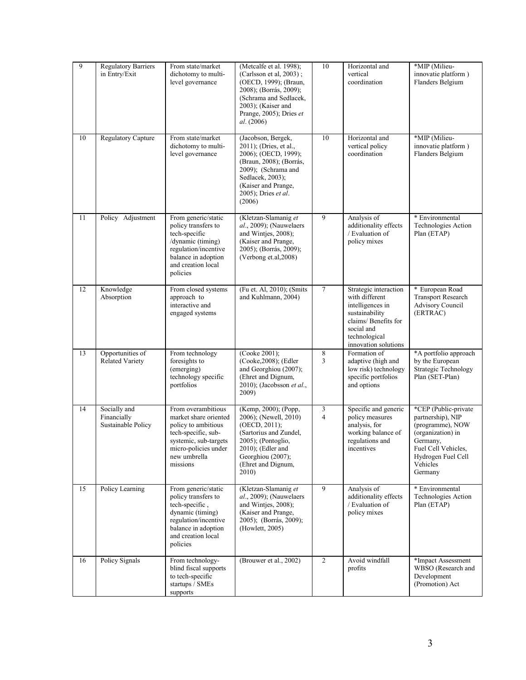| 9  | <b>Regulatory Barriers</b><br>in Entry/Exit       | From state/market<br>dichotomy to multi-<br>level governance                                                                                                           | (Metcalfe et al. 1998);<br>(Carlsson et al, 2003);<br>(OECD, 1999); (Braun,<br>2008); (Borrás, 2009);<br>(Schrama and Sedlacek,<br>2003); (Kaiser and<br>Prange, 2005); Dries et<br>al. (2006)     | 10             | Horizontal and<br>vertical<br>coordination                                                                                                                   | *MIP (Milieu-<br>innovatie platform)<br>Flanders Belgium                                                                                                           |
|----|---------------------------------------------------|------------------------------------------------------------------------------------------------------------------------------------------------------------------------|----------------------------------------------------------------------------------------------------------------------------------------------------------------------------------------------------|----------------|--------------------------------------------------------------------------------------------------------------------------------------------------------------|--------------------------------------------------------------------------------------------------------------------------------------------------------------------|
| 10 | <b>Regulatory Capture</b>                         | From state/market<br>dichotomy to multi-<br>level governance                                                                                                           | (Jacobson, Bergek,<br>2011); (Dries, et al.,<br>2006); (OECD, 1999);<br>(Braun, 2008); (Borrás,<br>2009); (Schrama and<br>Sedlacek, 2003);<br>(Kaiser and Prange,<br>2005); Dries et al.<br>(2006) | 10             | Horizontal and<br>vertical policy<br>coordination                                                                                                            | *MIP (Milieu-<br>innovatie platform)<br>Flanders Belgium                                                                                                           |
| 11 | Policy Adjustment                                 | From generic/static<br>policy transfers to<br>tech-specific<br>/dynamic (timing)<br>regulation/incentive<br>balance in adoption<br>and creation local<br>policies      | (Kletzan-Slamanig et<br>$al., 2009$ ); (Nauwelaers<br>and Wintjes, 2008);<br>(Kaiser and Prange,<br>2005); (Borrás, 2009);<br>(Verbong et.al, 2008)                                                | 9              | Analysis of<br>additionality effects<br>/ Evaluation of<br>policy mixes                                                                                      | * Environmental<br>Technologies Action<br>Plan (ETAP)                                                                                                              |
| 12 | Knowledge<br>Absorption                           | From closed systems<br>approach to<br>interactive and<br>engaged systems                                                                                               | (Fu et. Al, 2010); (Smits<br>and Kuhlmann, 2004)                                                                                                                                                   | $\tau$         | Strategic interaction<br>with different<br>intelligences in<br>sustainability<br>claims/ Benefits for<br>social and<br>technological<br>innovation solutions | * European Road<br><b>Transport Research</b><br><b>Advisory Council</b><br>(ERTRAC)                                                                                |
| 13 | Opportunities of<br><b>Related Variety</b>        | From technology<br>foresights to<br>(emerging)<br>technology specific<br>portfolios                                                                                    | (Cooke 2001);<br>(Cooke, 2008); (Edler<br>and Georghiou (2007);<br>(Ehret and Dignum,<br>2010); (Jacobsson et al.,<br>2009)                                                                        | 8<br>3         | Formation of<br>adaptive (high and<br>low risk) technology<br>specific portfolios<br>and options                                                             | *A portfolio approach<br>by the European<br>Strategic Technology<br>Plan (SET-Plan)                                                                                |
| 14 | Socially and<br>Financially<br>Sustainable Policy | From overambitious<br>market share oriented<br>policy to ambitious<br>tech-specific, sub-<br>systemic, sub-targets<br>micro-policies under<br>new umbrella<br>missions | (Kemp, 2000); (Popp,<br>2006); (Newell, 2010)<br>(OECD, 2011);<br>(Sartorius and Zundel,<br>2005); (Pontoglio,<br>$2010$ ; (Edler and<br>Georghiou (2007);<br>(Ehret and Dignum,<br>2010)          | 3<br>4         | Specific and generic<br>policy measures<br>analysis, for<br>working balance of<br>regulations and<br>incentives                                              | *CEP (Public-private<br>partnership), NIP<br>(programme), NOW<br>(organization) in<br>Germany,<br>Fuel Cell Vehicles,<br>Hydrogen Fuel Cell<br>Vehicles<br>Germany |
| 15 | Policy Learning                                   | From generic/static<br>policy transfers to<br>tech-specific,<br>dynamic (timing)<br>regulation/incentive<br>balance in adoption<br>and creation local<br>policies      | (Kletzan-Slamanig et<br>al., 2009); (Nauwelaers<br>and Winties, 2008);<br>(Kaiser and Prange,<br>2005); (Borrás, 2009);<br>(Howlett, 2005)                                                         | $\overline{9}$ | Analysis of<br>additionality effects<br>/ Evaluation of<br>policy mixes                                                                                      | * Environmental<br>Technologies Action<br>Plan (ETAP)                                                                                                              |
| 16 | Policy Signals                                    | From technology-<br>blind fiscal supports<br>to tech-specific<br>startups / SMEs<br>supports                                                                           | (Brouwer et al., 2002)                                                                                                                                                                             | $\overline{2}$ | Avoid windfall<br>profits                                                                                                                                    | *Impact Assessment<br>WBSO (Research and<br>Development<br>(Promotion) Act                                                                                         |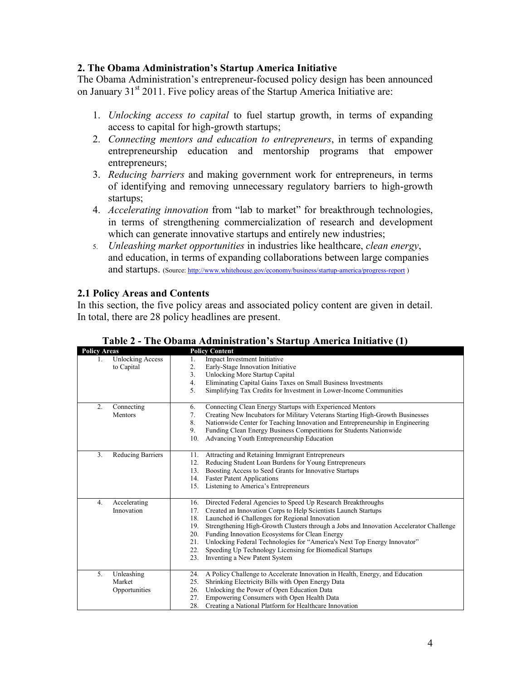# **2. The Obama Administration's Startup America Initiative**

The Obama Administration's entrepreneur-focused policy design has been announced on January  $31<sup>st</sup> 2011$ . Five policy areas of the Startup America Initiative are:

- 1. *Unlocking access to capital* to fuel startup growth, in terms of expanding access to capital for high-growth startups;
- 2. *Connecting mentors and education to entrepreneurs*, in terms of expanding entrepreneurship education and mentorship programs that empower entrepreneurs;
- 3. *Reducing barriers* and making government work for entrepreneurs, in terms of identifying and removing unnecessary regulatory barriers to high-growth startups;
- 4. *Accelerating innovation* from "lab to market" for breakthrough technologies, in terms of strengthening commercialization of research and development which can generate innovative startups and entirely new industries;
- 5. *Unleashing market opportunities* in industries like healthcare, *clean energy*, and education, in terms of expanding collaborations between large companies and startups. (Source: http://www.whitehouse.gov/economy/business/startup-america/progress-report)

# **2.1 Policy Areas and Contents**

In this section, the five policy areas and associated policy content are given in detail. In total, there are 28 policy headlines are present.

| <b>Policy Areas</b> |                         | <b>Policy Content</b>                                                                         |
|---------------------|-------------------------|-----------------------------------------------------------------------------------------------|
| 1.                  | <b>Unlocking Access</b> | Impact Investment Initiative<br>1.                                                            |
|                     | to Capital              | 2.<br>Early-Stage Innovation Initiative                                                       |
|                     |                         | Unlocking More Startup Capital<br>3.                                                          |
|                     |                         | 4.<br>Eliminating Capital Gains Taxes on Small Business Investments                           |
|                     |                         | 5.<br>Simplifying Tax Credits for Investment in Lower-Income Communities                      |
|                     |                         |                                                                                               |
| 2.                  | Connecting              | Connecting Clean Energy Startups with Experienced Mentors<br>6.                               |
|                     | Mentors                 | 7.<br>Creating New Incubators for Military Veterans Starting High-Growth Businesses           |
|                     |                         | 8.<br>Nationwide Center for Teaching Innovation and Entrepreneurship in Engineering           |
|                     |                         | Funding Clean Energy Business Competitions for Students Nationwide<br>9.                      |
|                     |                         | 10.<br>Advancing Youth Entrepreneurship Education                                             |
|                     |                         |                                                                                               |
| 3.                  | Reducing Barriers       | Attracting and Retaining Immigrant Entrepreneurs<br>11.                                       |
|                     |                         | Reducing Student Loan Burdens for Young Entrepreneurs<br>12.                                  |
|                     |                         | Boosting Access to Seed Grants for Innovative Startups<br>13.                                 |
|                     |                         | <b>Faster Patent Applications</b><br>14.                                                      |
|                     |                         | 15.<br>Listening to America's Entrepreneurs                                                   |
|                     |                         |                                                                                               |
| 4.                  | Accelerating            | Directed Federal Agencies to Speed Up Research Breakthroughs<br>16.                           |
|                     | Innovation              | 17.<br>Created an Innovation Corps to Help Scientists Launch Startups                         |
|                     |                         | Launched i6 Challenges for Regional Innovation<br>18.                                         |
|                     |                         | Strengthening High-Growth Clusters through a Jobs and Innovation Accelerator Challenge<br>19. |
|                     |                         | 20.<br>Funding Innovation Ecosystems for Clean Energy                                         |
|                     |                         | 21.<br>Unlocking Federal Technologies for "America's Next Top Energy Innovator"               |
|                     |                         | 22.<br>Speeding Up Technology Licensing for Biomedical Startups                               |
|                     |                         | Inventing a New Patent System<br>23.                                                          |
|                     |                         |                                                                                               |
| 5.                  | Unleashing              | A Policy Challenge to Accelerate Innovation in Health, Energy, and Education<br>24.           |
|                     | Market                  | Shrinking Electricity Bills with Open Energy Data<br>25.                                      |
|                     | Opportunities           | Unlocking the Power of Open Education Data<br>26.                                             |
|                     |                         | Empowering Consumers with Open Health Data<br>27.                                             |
|                     |                         | 28.<br>Creating a National Platform for Healthcare Innovation                                 |

**Table 2 - The Obama Administration's Startup America Initiative (1)**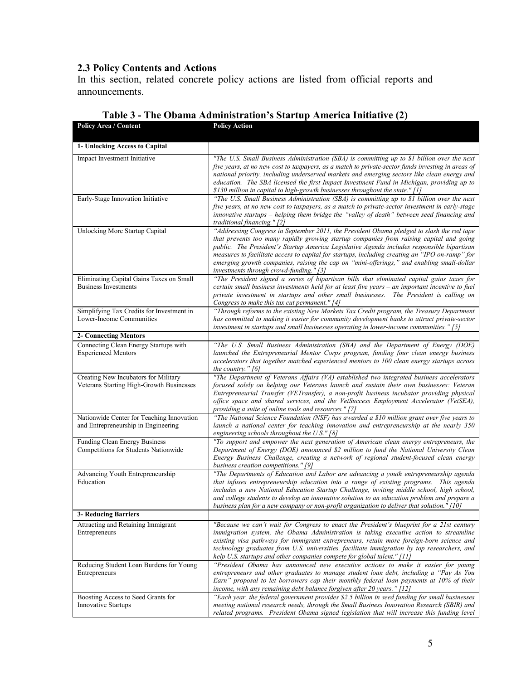# **2.3 Policy Contents and Actions**

In this section, related concrete policy actions are listed from official reports and announcements.

| <b>Policy Area / Content</b>                                                     | <b>Policy Action</b>                                                                                                                                                                                                                                                                                                                                                                                                                                                                                                         |
|----------------------------------------------------------------------------------|------------------------------------------------------------------------------------------------------------------------------------------------------------------------------------------------------------------------------------------------------------------------------------------------------------------------------------------------------------------------------------------------------------------------------------------------------------------------------------------------------------------------------|
| 1- Unlocking Access to Capital                                                   |                                                                                                                                                                                                                                                                                                                                                                                                                                                                                                                              |
| Impact Investment Initiative                                                     | "The U.S. Small Business Administration (SBA) is committing up to \$1 billion over the next<br>five years, at no new cost to taxpayers, as a match to private-sector funds investing in areas of<br>national priority, including underserved markets and emerging sectors like clean energy and<br>education. The SBA licensed the first Impact Investment Fund in Michigan, providing up to<br>\$130 million in capital to high-growth businesses throughout the state." [1]                                                |
| Early-Stage Innovation Initiative                                                | "The U.S. Small Business Administration (SBA) is committing up to \$1 billion over the next<br>five years, at no new cost to taxpayers, as a match to private-sector investment in early-stage<br>innovative startups – helping them bridge the "valley of death" between seed financing and<br>traditional financing." $[2]$                                                                                                                                                                                                |
| <b>Unlocking More Startup Capital</b>                                            | "Addressing Congress in September 2011, the President Obama pledged to slash the red tape<br>that prevents too many rapidly growing startup companies from raising capital and going<br>public. The President's Startup America Legislative Agenda includes responsible bipartisan<br>measures to facilitate access to capital for startups, including creating an "IPO on-ramp" for<br>emerging growth companies, raising the cap on "mini-offerings," and enabling small-dollar<br>investments through crowd-funding." [3] |
| Eliminating Capital Gains Taxes on Small<br><b>Business Investments</b>          | "The President signed a series of bipartisan bills that eliminated capital gains taxes for<br>certain small business investments held for at least five years - an important incentive to fuel<br>private investment in startups and other small businesses. The President is calling on<br>Congress to make this tax cut permanent." [4]                                                                                                                                                                                    |
| Simplifying Tax Credits for Investment in<br>Lower-Income Communities            | "Through reforms to the existing New Markets Tax Credit program, the Treasury Department<br>has committed to making it easier for community development banks to attract private-sector<br>investment in startups and small businesses operating in lower-income communities." [5]                                                                                                                                                                                                                                           |
| <b>2- Connecting Mentors</b>                                                     |                                                                                                                                                                                                                                                                                                                                                                                                                                                                                                                              |
| Connecting Clean Energy Startups with<br><b>Experienced Mentors</b>              | "The U.S. Small Business Administration (SBA) and the Department of Energy (DOE)<br>launched the Entrepreneurial Mentor Corps program, funding four clean energy business<br>accelerators that together matched experienced mentors to 100 clean energy startups across<br>the country." $[6]$                                                                                                                                                                                                                               |
| Creating New Incubators for Military<br>Veterans Starting High-Growth Businesses | "The Department of Veterans Affairs (VA) established two integrated business accelerators<br>focused solely on helping our Veterans launch and sustain their own businesses: Veteran<br>Entrepreneurial Transfer (VETransfer), a non-profit business incubator providing physical<br>office space and shared services, and the VetSuccess Employment Accelerator (VetSEA),<br>providing a suite of online tools and resources." [7]                                                                                          |
| Nationwide Center for Teaching Innovation<br>and Entrepreneurship in Engineering | "The National Science Foundation (NSF) has awarded a \$10 million grant over five years to<br>launch a national center for teaching innovation and entrepreneurship at the nearly 350<br>engineering schools throughout the U.S." $[8]$                                                                                                                                                                                                                                                                                      |
| Funding Clean Energy Business<br>Competitions for Students Nationwide            | "To support and empower the next generation of American clean energy entrepreneurs, the<br>Department of Energy (DOE) announced \$2 million to fund the National University Clean<br>Energy Business Challenge, creating a network of regional student-focused clean energy<br>business creation competitions." [9]                                                                                                                                                                                                          |
| Advancing Youth Entrepreneurship<br>Education                                    | "The Departments of Education and Labor are advancing a youth entrepreneurship agenda<br>that infuses entrepreneurship education into a range of existing programs. This agenda<br>includes a new National Education Startup Challenge, inviting middle school, high school,<br>and college students to develop an innovative solution to an education problem and prepare a<br>business plan for a new company or non-profit organization to deliver that solution." [10]                                                   |
| <b>3- Reducing Barriers</b>                                                      |                                                                                                                                                                                                                                                                                                                                                                                                                                                                                                                              |
| Attracting and Retaining Immigrant<br>Entrepreneurs                              | "Because we can't wait for Congress to enact the President's blueprint for a 21st century<br>immigration system, the Obama Administration is taking executive action to streamline<br>existing visa pathways for immigrant entrepreneurs, retain more foreign-born science and<br>technology graduates from U.S. universities, facilitate immigration by top researchers, and<br>help U.S. startups and other companies compete for global talent." [11]                                                                     |
| Reducing Student Loan Burdens for Young<br>Entrepreneurs                         | "President Obama has announced new executive actions to make it easier for young<br>entrepreneurs and other graduates to manage student loan debt, including a "Pay As You<br>Earn" proposal to let borrowers cap their monthly federal loan payments at 10% of their<br>income, with any remaining debt balance forgiven after 20 years." [12]                                                                                                                                                                              |
| Boosting Access to Seed Grants for<br><b>Innovative Startups</b>                 | "Each year, the federal government provides \$2.5 billion in seed funding for small businesses<br>meeting national research needs, through the Small Business Innovation Research (SBIR) and<br>related programs. President Obama signed legislation that will increase this funding level                                                                                                                                                                                                                                   |

# **Table 3 - The Obama Administration's Startup America Initiative (2)**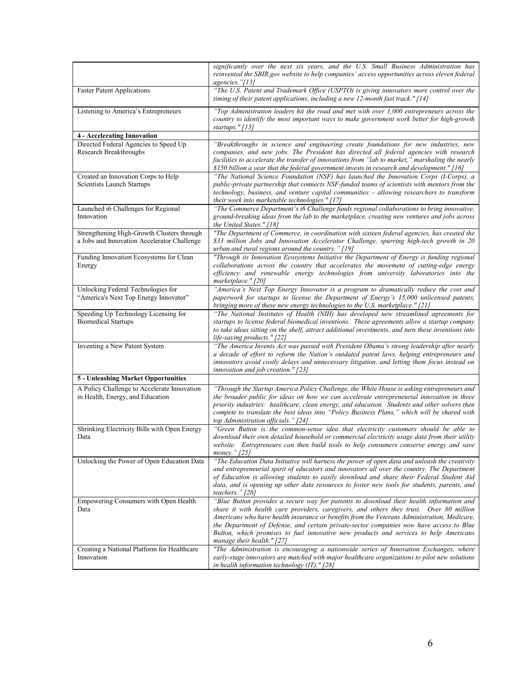|                                                                                           | significantly over the next six years, and the U.S. Small Business Administration has<br>reinvented the SBIR gov website to help companies' access opportunities across eleven federal<br>agencies."[13]                                                                                                                                                                                                                                                                                             |
|-------------------------------------------------------------------------------------------|------------------------------------------------------------------------------------------------------------------------------------------------------------------------------------------------------------------------------------------------------------------------------------------------------------------------------------------------------------------------------------------------------------------------------------------------------------------------------------------------------|
| <b>Faster Patent Applications</b>                                                         | "The U.S. Patent and Trademark Office (USPTO) is giving innovators more control over the<br>timing of their patent applications, including a new 12-month fast track." $[14]$                                                                                                                                                                                                                                                                                                                        |
| Listening to America's Entrepreneurs                                                      | "Top Administration leaders hit the road and met with over 1,000 entrepreneurs across the<br>country to identify the most important ways to make government work better for high-growth<br>startups." $[15]$                                                                                                                                                                                                                                                                                         |
| <b>4 - Accelerating Innovation</b>                                                        |                                                                                                                                                                                                                                                                                                                                                                                                                                                                                                      |
| Directed Federal Agencies to Speed Up<br>Research Breakthroughs                           | "Breakthroughs in science and engineering create foundations for new industries, new<br>companies, and new jobs. The President has directed all federal agencies with research<br>facilities to accelerate the transfer of innovations from "lab to market," marshaling the nearly<br>\$150 billion a year that the federal government invests in research and development." [16]                                                                                                                    |
| Created an Innovation Corps to Help<br>Scientists Launch Startups                         | "The National Science Foundation (NSF) has launched the Innovation Corps (I-Corps), a<br>public-private partnership that connects NSF-funded teams of scientists with mentors from the<br>technology, business, and venture capital communities - allowing researchers to transform<br>their work into marketable technologies." [17]                                                                                                                                                                |
| Launched i6 Challenges for Regional<br>Innovation                                         | "The Commerce Department's i6 Challenge funds regional collaborations to bring innovative,<br>ground-breaking ideas from the lab to the marketplace, creating new ventures and jobs across<br>the United States." [18]                                                                                                                                                                                                                                                                               |
| Strengthening High-Growth Clusters through<br>a Jobs and Innovation Accelerator Challenge | "The Department of Commerce, in coordination with sixteen federal agencies, has created the<br>\$33 million Jobs and Innovation Accelerator Challenge, spurring high-tech growth in 20<br>urban and rural regions around the country." [19]                                                                                                                                                                                                                                                          |
| Funding Innovation Ecosystems for Clean<br>Energy                                         | "Through its Innovation Ecosystems Initiative the Department of Energy is funding regional<br>collaborations across the country that accelerates the movement of cutting-edge energy<br>efficiency and renewable energy technologies from university laboratories into the<br>marketplace." [20]                                                                                                                                                                                                     |
| Unlocking Federal Technologies for<br>"America's Next Top Energy Innovator"               | "America's Next Top Energy Innovator is a program to dramatically reduce the cost and<br>paperwork for startups to license the Department of Energy's 15,000 unlicensed patents,<br>bringing more of these new energy technologies to the U.S. marketplace." [21]                                                                                                                                                                                                                                    |
| Speeding Up Technology Licensing for<br><b>Biomedical Startups</b>                        | "The National Institutes of Health (NIH) has developed new streamlined agreements for<br>startups to license federal biomedical inventions. These agreements allow a startup company<br>to take ideas sitting on the shelf, attract additional investments, and turn these inventions into<br>life-saving products." [22]                                                                                                                                                                            |
| Inventing a New Patent System                                                             | "The America Invents Act was passed with President Obama's strong leadership after nearly<br>a decade of effort to reform the Nation's outdated patent laws, helping entrepreneurs and<br>innovators avoid costly delays and unnecessary litigation, and letting them focus instead on<br>innovation and job creation." $[23]$                                                                                                                                                                       |
| 5 - Unleashing Market Opportunities                                                       |                                                                                                                                                                                                                                                                                                                                                                                                                                                                                                      |
| A Policy Challenge to Accelerate Innovation<br>in Health, Energy, and Education           | "Through the Startup America Policy Challenge, the White House is asking entrepreneurs and<br>the broader public for ideas on how we can accelerate entrepreneurial innovation in three<br>priority industries: healthcare, clean energy, and education. Students and other solvers then<br>compete to translate the best ideas into "Policy Business Plans," which will be shared with<br>top Administration officials." [24]                                                                       |
| Shrinking Electricity Bills with Open Energy<br>Data                                      | "Green Button is the common-sense idea that electricity customers should be able to<br>download their own detailed household or commercial electricity usage data from their utility<br>website. Entrepreneurs can then build tools to help consumers conserve energy and save<br>money." [25]                                                                                                                                                                                                       |
| Unlocking the Power of Open Education Data                                                | "The Education Data Initiative will harness the power of open data and unleash the creativity<br>and entrepreneurial spirit of educators and innovators all over the country. The Department<br>of Education is allowing students to easily download and share their Federal Student Aid<br>data, and is opening up other data resources to foster new tools for students, parents, and<br>teachers." $[26]$                                                                                         |
| Empowering Consumers with Open Health<br>Data                                             | "Blue Button provides a secure way for patients to download their health information and<br>share it with health care providers, caregivers, and others they trust. Over 80 million<br>Americans who have health insurance or benefits from the Veterans Administration, Medicare,<br>the Department of Defense, and certain private-sector companies now have access to Blue<br>Button, which promises to fuel innovative new products and services to help Americans<br>manage their health." [27] |
| Creating a National Platform for Healthcare<br>Innovation                                 | "The Administration is encouraging a nationwide series of Innovation Exchanges, where<br>early-stage innovators are matched with major healthcare organizations to pilot new solutions<br>in health information technology $(IT)$ ." [28]                                                                                                                                                                                                                                                            |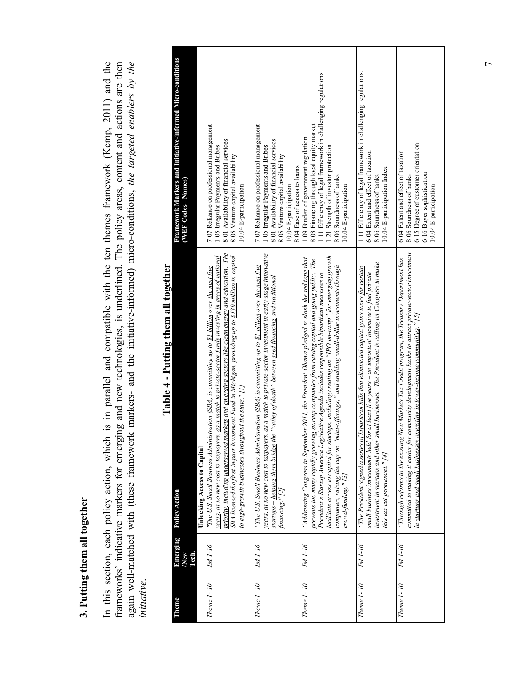# **3. Putting them all together**  3. Putting them all together

In this section, each policy action, which is in parallel and compatible with the ten themes framework (Kemp, 2011) and the frameworks' indicative markers for emerging and new technologies, is underlined. The policy areas, content and actions are then again well-matched with (these framework markers- and the initiative-informed) micro-condition frameworks' indicative markers for emerging and new technologies, is underlined. The policy areas, content and actions are then again well-matched with (these framework markers- and the initiative-informed) micro-conditions, *the targeted enablers by the*  In this section, each policy action, which is in parallel and compatible with the ten themes framework (Kemp, 2011) and the *initiative*.

| Framework Markers and Initiative-informed Micro-conditions<br>(WEF Codes - Names)         | 7.07 Reliance on professional management<br>8.01 Availability of financial services<br>1.05 Irregular Payments and Bribes<br>8.05 Venture capital availability<br>10.04 E-participation                                                                                                                                                                                                                                                                                                        | 7.07 Reliance on professional management<br>8.01 Availability of financial services<br>1.05 Irregular Payments and Bribes<br>8.05 Venture capital availability<br>8.04 Ease of access to loans<br>10.04 E-participation                                                                                                           | 11 Efficiency of legal framework in challenging regulations<br>8.03 Financing through local equity market<br>1.09 Burden of government regulation<br>1.21 Strength of investor protection<br>8.06 Soundness of banks<br>10.04 E-participation                                                                                                                                                                                                                                                                                       | 1.11 Efficiency of legal framework in challenging regulations.<br>6.04 Extent and effect of taxation<br>10.04 E-participation Index<br>8.06 Soundness of banks                                                                                                                                                                              | 6.15 Degree of customer orientation<br>6.04 Extent and effect of taxation<br>6.16 Buyer sophistication<br>8.06 Soundness of banks<br>10.04 E-participation                                                                                                                               |
|-------------------------------------------------------------------------------------------|------------------------------------------------------------------------------------------------------------------------------------------------------------------------------------------------------------------------------------------------------------------------------------------------------------------------------------------------------------------------------------------------------------------------------------------------------------------------------------------------|-----------------------------------------------------------------------------------------------------------------------------------------------------------------------------------------------------------------------------------------------------------------------------------------------------------------------------------|-------------------------------------------------------------------------------------------------------------------------------------------------------------------------------------------------------------------------------------------------------------------------------------------------------------------------------------------------------------------------------------------------------------------------------------------------------------------------------------------------------------------------------------|---------------------------------------------------------------------------------------------------------------------------------------------------------------------------------------------------------------------------------------------------------------------------------------------------------------------------------------------|------------------------------------------------------------------------------------------------------------------------------------------------------------------------------------------------------------------------------------------------------------------------------------------|
| r ann e am man san an a<br>- 21212<br>Unlocking Access to Capital<br><b>Policy Action</b> | priority, including underserved markets and emerging sectors like clean energy and education. The<br>SBA licensed the first Impact Investment Fund in Michigan, providing up to \$130 million in capital<br>as a match to private-sector funds investing in areas of national<br>"The U.S. Small Business Administration (SBA) is committing up to <u>\$1 billion</u> over <u>the next five</u><br>to high-growth businesses throughout the state." [1]<br>years, at no new cost to taxpayers, | as a match to private-sector investment in early-stage innovative<br>"The U.S. Small Business Administration (SBA) is committing up to \$1 billion over the next five<br>"valley of death" between seed financing and traditional<br>years, at no new cost to taxpayers,<br>startups – helping them bridge the<br>financing." [2] | facilitate access to capital for startups, including creating an "IPO on-ramp" for emerging growth<br>"Addressing Congress in September 2011, the President Obama pledged to slash <u>the red tape</u> that<br>prevents too many rapidly growing startup companies from raising capital and going public. The<br>companies, raising the cap on "mini-offerings," and enabling small-dollar investments through<br>President's Startup America Legislative Agenda includes responsible bipartisan measures to<br>crowd-funding." [3] | investment in startups and other small businesses. The President is calling on Congress to make<br>"The President signed a series of bipartisan bills that eliminated capital gains taxes for certain<br>small business investments held for at least five years $-a$ n important incentive to fuel private<br>this tax cut permanent." [4] | committed to making it easier for community development banks to attract private-sector investment<br>Vew Markets Tax Credit program, the Treasury Department has<br>in startups and small businesses operating in lower-income communities." $[5]$<br>"Through reforms to the existing" |
| Emerging<br>Tech.<br>/New                                                                 | IM <sub>1</sub> -16                                                                                                                                                                                                                                                                                                                                                                                                                                                                            | IN 1-16                                                                                                                                                                                                                                                                                                                           | NA 1-16                                                                                                                                                                                                                                                                                                                                                                                                                                                                                                                             | IM <sub>1-16</sub>                                                                                                                                                                                                                                                                                                                          | <b>MI-16</b>                                                                                                                                                                                                                                                                             |
| Theme                                                                                     | Theme 1-10                                                                                                                                                                                                                                                                                                                                                                                                                                                                                     | Theme 1-10                                                                                                                                                                                                                                                                                                                        | <b>Theme 1-10</b>                                                                                                                                                                                                                                                                                                                                                                                                                                                                                                                   | Theme 1-10                                                                                                                                                                                                                                                                                                                                  | Theme 1-10                                                                                                                                                                                                                                                                               |

# Table 4 - Putting them all together **Table 4 - Putting them all together**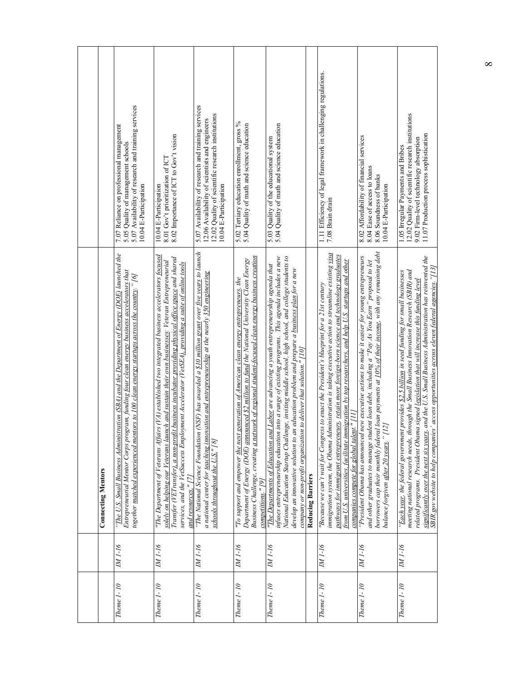|                           | 5.07 Availability of research and training services<br>7.07 Reliance on professional management<br>5.05 Quality of management schools<br>10.04 E-Participation                                                                                                                                   | 8.02 Importance of ICT to Gov't vision<br>8.01 Gov't prioritization of ICT<br>10.04 E-Participation                                                                                                                                                                                                                                                                                                                                 | 5.07 Availability of research and training services<br>12.02 Quality of scientific research institutions<br>2.06 Availability of scientists and engineers<br>0.04 E-Participation                                                          | 5.02 Tertiary education enrollment, gross %<br>5.04 Quality of math and science education                                                                                                                                                                                                                                     | 5.03 Quality of the educational system<br>5.04 Quality of math and science education                                                                                                                                                                                                                                                                                                                                                                                              |                          | 1.11 Efficiency of legal framework in challenging regulations.<br>7.08 Brain drain                                                                                                                                                                                                                                                                                                                                                                       | 8.02 Affordability of financial services<br>8.04 Ease of access to loans<br>8.06 Soundness of banks<br>10.04 E-Participation                                                                                                                                                                                                                              | 12.02 Quality of scientific research institutions<br>11.07 Production process sophistication<br>9.02 Firm-level technology absorption<br>1.05 Irregular Payments and Bribes                                                                                                                                                                                                                                                                                                                         |
|---------------------------|--------------------------------------------------------------------------------------------------------------------------------------------------------------------------------------------------------------------------------------------------------------------------------------------------|-------------------------------------------------------------------------------------------------------------------------------------------------------------------------------------------------------------------------------------------------------------------------------------------------------------------------------------------------------------------------------------------------------------------------------------|--------------------------------------------------------------------------------------------------------------------------------------------------------------------------------------------------------------------------------------------|-------------------------------------------------------------------------------------------------------------------------------------------------------------------------------------------------------------------------------------------------------------------------------------------------------------------------------|-----------------------------------------------------------------------------------------------------------------------------------------------------------------------------------------------------------------------------------------------------------------------------------------------------------------------------------------------------------------------------------------------------------------------------------------------------------------------------------|--------------------------|----------------------------------------------------------------------------------------------------------------------------------------------------------------------------------------------------------------------------------------------------------------------------------------------------------------------------------------------------------------------------------------------------------------------------------------------------------|-----------------------------------------------------------------------------------------------------------------------------------------------------------------------------------------------------------------------------------------------------------------------------------------------------------------------------------------------------------|-----------------------------------------------------------------------------------------------------------------------------------------------------------------------------------------------------------------------------------------------------------------------------------------------------------------------------------------------------------------------------------------------------------------------------------------------------------------------------------------------------|
| <b>Connecting Mentors</b> | "The U.S. Small Business Administration (SBA) and the Department of Energy (DOE) launched the<br>Entrepreneurial Mentor Corps program, funding <u>four clean energy business accelerators</u> that<br>together matched experienced mentors to 100 clean energy startups across the country." [6] | "The Department of Veterans Affairs (VA) established two integrated business accelerators focused<br>Transfer (VETransfer), a non-profit business incubator providing physical office space and shared<br>solely on helping our Veterans launch and sustain their own businesses: Veteran Entrepreneurial<br>services, and the VetSuccess Employment Accelerator (VetSEA), providing a suite of online tools<br>and resources." [7] | (NSF) has awarded a \$10 million grant over five years to launch<br>a national center for teaching innovation and entrepreneurship at the nearly 350 engineering<br>"The National Science Foundation<br>schools throughout the $US$ ." [8] | Business Challenge, creating <u>a network of regional student-focused clean energy business creation</u><br>Department of Energy (DOE) announced \$2 million to fund the National University Clean Energy<br>generation of American clean energy entrepreneurs, the<br>"To support and empower the next<br>competitions." [9] | infuses entrepreneurship education into a range of existing programs. This agenda includes a new<br>National Education Startup Challenge, inviting middle school, high school, and college students to<br>"The Departments of Education and Labor are advancing a youth entrepreneurship agenda that<br>develop an innovative solution to an education problem and prepare a <u>business plan</u> for a new<br>company or non-profit organization to deliver that solution." [10] | <b>Reducing Barriers</b> | immigration system, the Obama Administration is taking executive action to streamline existing visa<br>pathways for immigrant entrepreneurs, retain more foreign-born science and technology graduates<br>from U.S. universities, facilitate immigration by top researchers, and help U.S. startups and other<br>"Because we can't wait for Congress to enact the President's blueprint for a 21st century<br>companies compete for global talent." [11] | borrowers cap their monthly federal loan payments at 10% of their income, with any remaining debt<br>"President Obama has announced new executive actions to make it easier for young entrepreneurs<br>and other graduates to manage student loan debt, including a "Pay As You Earn" proposal to let<br>[7]<br>balance forgiven <u>after 20 years</u> ." | significantly over the next six years, and the U.S. Small Business Administration has reinvented the<br>SBIR gov website to help companies' access opportunities across eleven federal agencies."[13]<br>meeting national research needs, through the Small Business Innovation Research (SBIR) and<br>"Each year, the federal government provides \$2.5 billion in seed funding for small businesses<br>related programs. President Obama signed legislation that will increase this funding level |
|                           | IM 1-16                                                                                                                                                                                                                                                                                          | IM <sub>1-16</sub>                                                                                                                                                                                                                                                                                                                                                                                                                  | IM 1-16                                                                                                                                                                                                                                    | IM 1-16                                                                                                                                                                                                                                                                                                                       | IM <sub>1-16</sub>                                                                                                                                                                                                                                                                                                                                                                                                                                                                |                          | NA 1-16                                                                                                                                                                                                                                                                                                                                                                                                                                                  | IM 1-16                                                                                                                                                                                                                                                                                                                                                   | IM 1-16                                                                                                                                                                                                                                                                                                                                                                                                                                                                                             |
|                           | Theme 1-10                                                                                                                                                                                                                                                                                       | Theme 1-10                                                                                                                                                                                                                                                                                                                                                                                                                          | Theme 1-10                                                                                                                                                                                                                                 | Theme 1-10                                                                                                                                                                                                                                                                                                                    | Theme 1-10                                                                                                                                                                                                                                                                                                                                                                                                                                                                        |                          | $Thene 1-10$                                                                                                                                                                                                                                                                                                                                                                                                                                             | Theme 1-10                                                                                                                                                                                                                                                                                                                                                | Theme 1-10                                                                                                                                                                                                                                                                                                                                                                                                                                                                                          |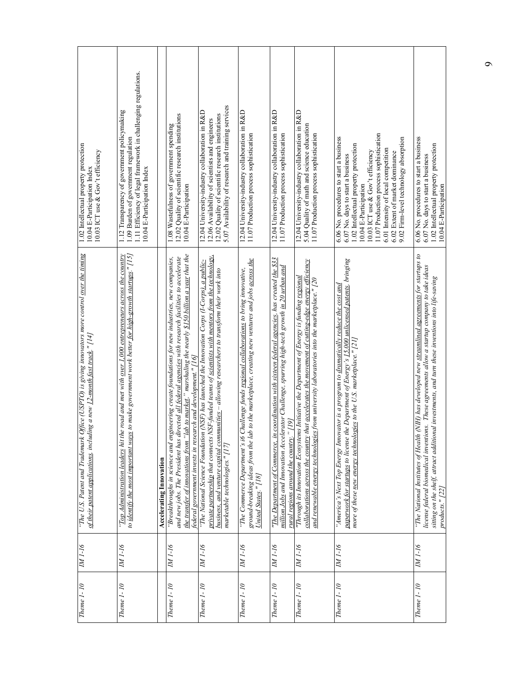| Theme 1-10     | IM <sub>1</sub> -16 | "The U.S. Patent and Trademark Office (USPTO) is giving innovators more control over the timing<br>of their patent applications, including a new 12-month fast track." [14]                                                                                                                                                                                                       | 1.02 Intellectual property protection<br>10.03 ICT use & Gov't efficiency<br>10.04 E-Participation Index                                                                                                                                                                                                                                         |
|----------------|---------------------|-----------------------------------------------------------------------------------------------------------------------------------------------------------------------------------------------------------------------------------------------------------------------------------------------------------------------------------------------------------------------------------|--------------------------------------------------------------------------------------------------------------------------------------------------------------------------------------------------------------------------------------------------------------------------------------------------------------------------------------------------|
| Theme $1 - 10$ | IM <sub>1-16</sub>  | to make government work better for high-growth startups." $[15]$<br>"Top Administration leaders hit the road and met with over 1,000 entrepreneurs across the country<br>to identify the most important ways                                                                                                                                                                      | 1.11 Efficiency of legal framework in challenging regulations.<br>1.12 Transparency of government policymaking<br>1.09 Burden of government regulation<br>10.04 E-Participation Index                                                                                                                                                            |
|                |                     | Accelerating Innovation                                                                                                                                                                                                                                                                                                                                                           |                                                                                                                                                                                                                                                                                                                                                  |
| Theme 1-10     | N1-16               | the transfer of innovations from "lab to market," marshaling the nearly \$150 billion a year that the<br>and new jobs. The President has directed all federal agencies with research facilities to accelerate<br>"Breakthroughs in science and engineering create foundations for new industries, new companies,<br>federal government invests in research and development." [16] | 12.02 Quality of scientific research institutions<br>1.08 Wastefulness of government spending<br>10.04 E-Participation                                                                                                                                                                                                                           |
| Theme 1-10     | IM 1-16             | private partnership that connects NSF-funded teams of scientists with mentors from the technology.<br>"The National Science Foundation (NSF) has launched the Innovation Corps (I-Corps), a public-<br>business, and venture capital communities - allowing researchers to transform their work into<br>marketable technologies." [17]                                            | 5.07 Availability of research and training services<br>12.04 University-industry collaboration in R&D<br>12.02 Quality of scientific research institutions<br>12.06 Availability of scientists and engineers                                                                                                                                     |
| Theme 1-10     | IM 1-16             | ground-breaking ideas from the lab to the marketplace, creating new ventures and jobs <u>across the</u><br>"The Commerce Department's i6 Challenge funds regional collaborations to bring innovative,<br>United States." [18]                                                                                                                                                     | 12.04 University-industry collaboration in R&D<br>11.07 Production process sophistication                                                                                                                                                                                                                                                        |
| Theme 1-10     | IM <sub>1</sub> -16 | "The Department of Commerce, in coordination with sixteen federal agencies, has created the \$33<br>million Jobs and Innovation Accelerator Challenge, spurring high-tech growth in 20 urban and<br>1911,<br>rural regions around the country."                                                                                                                                   | 12.04 University-industry collaboration in R&D<br>11.07 Production process sophistication                                                                                                                                                                                                                                                        |
| Theme 1-10     | IM 1-16             | $collaborations across the country that accelerates the movement of cutting-edge energy efficiency$<br>"Through its Innovation Ecosystems Initiative the Department of Energy is funding regional<br>and renewable energy technologies from university laboratories into the marketplace." [20                                                                                    | 12.04 University-industry collaboration in R&D<br>5.04 Quality of math and science education<br>11.07 Production process sophistication                                                                                                                                                                                                          |
| Theme $1 - 10$ | IM 1-16             | paperwork for startups to license the Department of Energy's 15,000 unlicensed patents, bringing<br>' America's Next Top Energy Innovator is a program to <u>dramatically reduce the cost and</u><br>more of these new energy technologies to the U.S. marketplace." [21]                                                                                                         | 11.07 Production process sophistication<br>6.06 No. procedures to start a business<br>9.02 Firm-level technology absorption<br>1.02 Intellectual property protection<br>6.01 Intensity of local competition<br>10.03 ICT use & Gov't efficiency<br>6.02 Extent of market dominance<br>6.07 No. days to start a business<br>10.04 E-Participation |
| Theme 1-10     | IM 1-16             | "The National Institutes of Health (NIH) has developed new streamlined agreements for startups to<br>license federal biomedical inventions. These agreements allow a startup company to take ideas<br>sitting on the shelf, attract additional investments, and turn these inventions into life-saving<br>products." [22]                                                         | 6.06 No. procedures to start a business<br>1.02 Intellectual property protection<br>6.07 No. days to start a business<br>10.04 E-Participation                                                                                                                                                                                                   |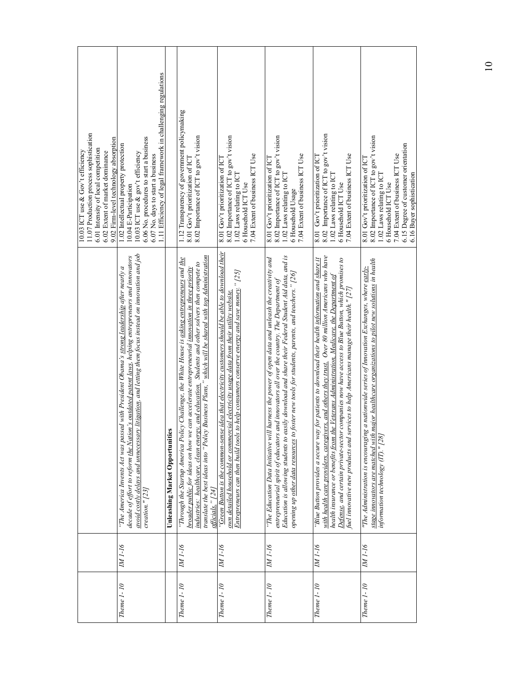| 11.07 Production process sophistication<br>9.02 Firm-level technology absorption<br>6.01 Intensity of local competition<br>10.03 ICT use & Gov't efficiency<br>6.02 Extent of market dominance | 1.11 Efficiency of legal framework in challenging regulations<br>6.06 No. procedures to start a business<br>1.02 Intellectual property protection<br>10.03 ICT use & gov't efficiency<br>6.07 No. days to start a business<br>10.04 E-Participation                                                                                       |                                        | 1.12 Transparency of government policymaking<br>8.02 Importance of ICT to gov't vision<br>8.01 Gov't prioritization of ICT                                                                                                                                                                                                                                                                                                     | 8.02 Importance of ICT to gov't vision<br>7.04 Extent of business ICT Use<br>8.01 Gov't prioritization of ICT<br>1.02 Laws relating to ICT<br>6 Household ICT Use                                                                                                                            | 8.02 Importance of ICT to gov't vision<br>7.04 Extent of business ICT Use<br>8.01 Gov't prioritization of ICT<br>1.02 Laws relating to ICT<br>6 Household Usage                                                                                                                                                                                                                                            | 8.02 Importance of ICT to gov't vision<br>7.04 Extent of business ICT Use<br>8.01 Gov't prioritization of ICT<br>1.02 Laws relating to ICT<br>6 Household ICT Use                                                                                                                                                                                                                                                                                                                                   | 8.02 Importance of ICT to gov't vision<br>6.15 Degree of customer orientation<br>7.04 Extent of business ICT Use<br>8.01 Gov't prioritization of ICT<br>1.02 Laws relating to ICT<br>6.16 Buyer sophistication<br>6 Household ICT Use      |
|------------------------------------------------------------------------------------------------------------------------------------------------------------------------------------------------|-------------------------------------------------------------------------------------------------------------------------------------------------------------------------------------------------------------------------------------------------------------------------------------------------------------------------------------------|----------------------------------------|--------------------------------------------------------------------------------------------------------------------------------------------------------------------------------------------------------------------------------------------------------------------------------------------------------------------------------------------------------------------------------------------------------------------------------|----------------------------------------------------------------------------------------------------------------------------------------------------------------------------------------------------------------------------------------------------------------------------------------------|------------------------------------------------------------------------------------------------------------------------------------------------------------------------------------------------------------------------------------------------------------------------------------------------------------------------------------------------------------------------------------------------------------|-----------------------------------------------------------------------------------------------------------------------------------------------------------------------------------------------------------------------------------------------------------------------------------------------------------------------------------------------------------------------------------------------------------------------------------------------------------------------------------------------------|--------------------------------------------------------------------------------------------------------------------------------------------------------------------------------------------------------------------------------------------|
|                                                                                                                                                                                                | avoid costly delays and unnecessary litigation, and letting them focus instead on innovation and job<br>decade of effort to reform <u>the Nation's outdated patent laws</u> , helping entrepreneurs and innovators<br>"The America Invents Act was passed with President Obama's strong leadership after nearly a<br>$c$ reation." $[23]$ | <b>Unleashing Market Opportunities</b> | translate the best ideas into "Policy Business Plans," which will be shared with top Administration<br>"Through the Startup America Policy Challenge, the White House is asking entrepreneurs and the<br>industries: healthcare, clean energy, and education. Students and other solvers then compete to<br>broader public for ideas on how we can accelerate entrepreneurial innovation in three priority<br>officials." [24] | "Green Button is the common-sense idea that electricity customers should be able to download their<br>Entrepreneurs can then build tools to help consumers conserve energy and save money. " [25]<br>own detailed household or commercial electricity usage data from their utility website. | Education is allowing students to easily download and share their Federal Student Aid data, and is<br>harness the power of open data and unleash the creativity and<br>opening up other data resources to foster new tools for students, parents, and teachers." [26]<br>entrepreneurial spirit of educators and innovators all over the country. The Department of<br>"The Education Data Initiative will | with health care providers, caregivers, and others they trust. Over 80 million Americans who have<br>"Blue Button provides a secure way for patients to download their health information and share it<br>Defense, and certain private-sector companies now have access to Blue Button, which promises to<br>health insurance or benefits from the Veterans Administration, Medicare, the Department of<br>fuel innovative new products and services to help Americans manage their health." $[27]$ | major healthcare organizations to pilot new solutions in health<br>"The Administration is encouraging a nationwide series of Innovation Exchanges, where early-<br>stage innovators are matched with<br>information technology (IT)." [28] |
|                                                                                                                                                                                                | IM <sub>1</sub> -16                                                                                                                                                                                                                                                                                                                       |                                        | NA 1-16                                                                                                                                                                                                                                                                                                                                                                                                                        | IM <sub>1-16</sub>                                                                                                                                                                                                                                                                           | IM <sub>1</sub> -16                                                                                                                                                                                                                                                                                                                                                                                        | IM 1-16                                                                                                                                                                                                                                                                                                                                                                                                                                                                                             | IM 1-16                                                                                                                                                                                                                                    |
|                                                                                                                                                                                                | Theme $1 - 10$                                                                                                                                                                                                                                                                                                                            |                                        | Theme 1-10                                                                                                                                                                                                                                                                                                                                                                                                                     | Theme $1 - 10$                                                                                                                                                                                                                                                                               | Theme 1-10                                                                                                                                                                                                                                                                                                                                                                                                 | Theme 1-10                                                                                                                                                                                                                                                                                                                                                                                                                                                                                          | Theme 1-10                                                                                                                                                                                                                                 |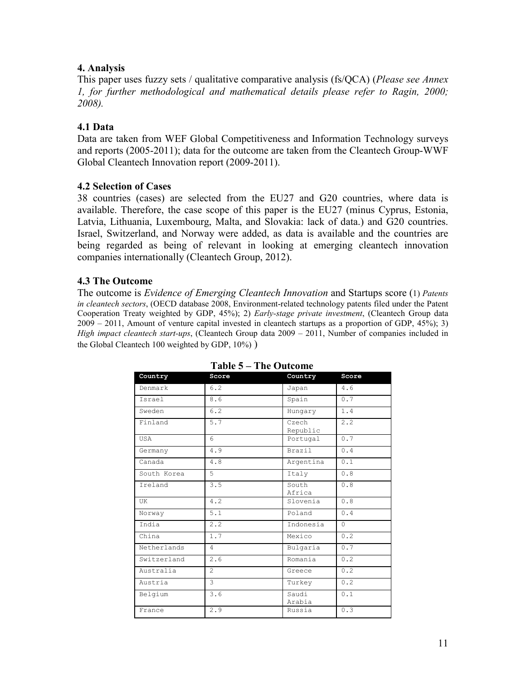# **4. Analysis**

This paper uses fuzzy sets / qualitative comparative analysis (fs/QCA) (*Please see Annex 1, for further methodological and mathematical details please refer to Ragin, 2000; 2008).* 

# **4.1 Data**

Data are taken from WEF Global Competitiveness and Information Technology surveys and reports (2005-2011); data for the outcome are taken from the Cleantech Group-WWF Global Cleantech Innovation report (2009-2011).

#### **4.2 Selection of Cases**

38 countries (cases) are selected from the EU27 and G20 countries, where data is available. Therefore, the case scope of this paper is the EU27 (minus Cyprus, Estonia, Latvia, Lithuania, Luxembourg, Malta, and Slovakia: lack of data.) and G20 countries. Israel, Switzerland, and Norway were added, as data is available and the countries are being regarded as being of relevant in looking at emerging cleantech innovation companies internationally (Cleantech Group, 2012).

# **4.3 The Outcome**

The outcome is *Evidence of Emerging Cleantech Innovation* and Startups score (1) *Patents in cleantech sectors*, (OECD database 2008, Environment-related technology patents filed under the Patent Cooperation Treaty weighted by GDP, 45%); 2) *Early-stage private investment*, (Cleantech Group data 2009 – 2011, Amount of venture capital invested in cleantech startups as a proportion of GDP, 45%); 3) *High impact cleantech start-ups*, (Cleantech Group data 2009 – 2011, Number of companies included in the Global Cleantech 100 weighted by GDP, 10%) )

| Country     | Score          | Country           | Score    |
|-------------|----------------|-------------------|----------|
| Denmark     | 6.2            | Japan             | 4.6      |
| Israel      | 8.6            | Spain             | 0.7      |
| Sweden      | 6.2            | Hungary           | 1.4      |
| Finland     | 5.7            | Czech<br>Republic | 2.2      |
| <b>USA</b>  | 6              | Portugal          | 0.7      |
| Germany     | 4.9            | Brazil            | 0.4      |
| Canada      | 4.8            | Argentina         | 0.1      |
| South Korea | 5              | Italy             | 0.8      |
| Ireland     | 3.5            | South<br>Africa   | 0.8      |
| UK          | 4.2            | Slovenia          | 0.8      |
| Norway      | 5.1            | Poland            | 0.4      |
| India       | 2.2            | Indonesia         | $\Omega$ |
| China       | 1.7            | Mexico            | 0.2      |
| Netherlands | 4              | Bulgaria          | 0.7      |
| Switzerland | 2.6            | Romania           | 0.2      |
| Australia   | $\mathfrak{D}$ | Greece            | 0.2      |
| Austria     | 3              | Turkey            | 0.2      |
| Belgium     | 3.6            | Saudi<br>Arabia   | 0.1      |
| France      | 2.9            | Russia            | 0.3      |

#### **Table 5 – The Outcome**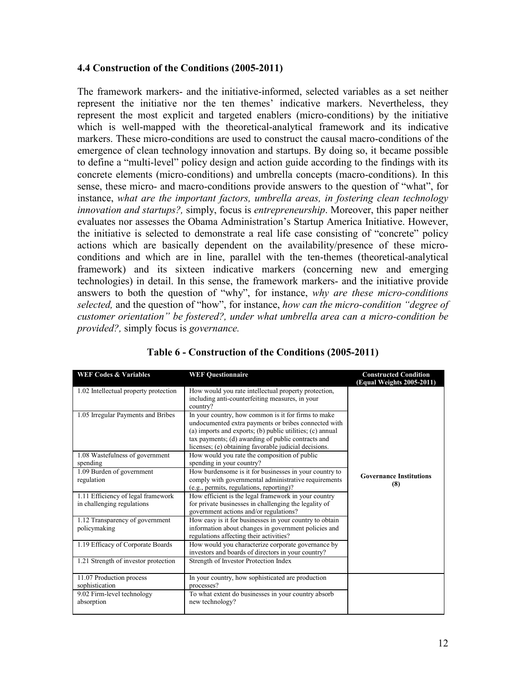#### **4.4 Construction of the Conditions (2005-2011)**

The framework markers- and the initiative-informed, selected variables as a set neither represent the initiative nor the ten themes' indicative markers. Nevertheless, they represent the most explicit and targeted enablers (micro-conditions) by the initiative which is well-mapped with the theoretical-analytical framework and its indicative markers. These micro-conditions are used to construct the causal macro-conditions of the emergence of clean technology innovation and startups. By doing so, it became possible to define a "multi-level" policy design and action guide according to the findings with its concrete elements (micro-conditions) and umbrella concepts (macro-conditions). In this sense, these micro- and macro-conditions provide answers to the question of "what", for instance, *what are the important factors, umbrella areas, in fostering clean technology innovation and startups?,* simply, focus is *entrepreneurship*. Moreover, this paper neither evaluates nor assesses the Obama Administration's Startup America Initiative. However, the initiative is selected to demonstrate a real life case consisting of "concrete" policy actions which are basically dependent on the availability/presence of these microconditions and which are in line, parallel with the ten-themes (theoretical-analytical framework) and its sixteen indicative markers (concerning new and emerging technologies) in detail. In this sense, the framework markers- and the initiative provide answers to both the question of "why", for instance, *why are these micro-conditions selected,* and the question of "how", for instance, *how can the micro-condition "degree of customer orientation" be fostered?, under what umbrella area can a micro-condition be provided?,* simply focus is *governance.* 

| <b>WEF Codes &amp; Variables</b>                                 | <b>WEF Questionnaire</b>                                                                                                                                                                                                                                                                | <b>Constructed Condition</b><br>(Equal Weights 2005-2011) |
|------------------------------------------------------------------|-----------------------------------------------------------------------------------------------------------------------------------------------------------------------------------------------------------------------------------------------------------------------------------------|-----------------------------------------------------------|
| 1.02 Intellectual property protection                            | How would you rate intellectual property protection,<br>including anti-counterfeiting measures, in your<br>country?                                                                                                                                                                     |                                                           |
| 1.05 Irregular Payments and Bribes                               | In your country, how common is it for firms to make<br>undocumented extra payments or bribes connected with<br>(a) imports and exports; (b) public utilities; (c) annual<br>tax payments; (d) awarding of public contracts and<br>licenses; (e) obtaining favorable judicial decisions. |                                                           |
| 1.08 Wastefulness of government<br>spending                      | How would you rate the composition of public<br>spending in your country?                                                                                                                                                                                                               |                                                           |
| 1.09 Burden of government<br>regulation                          | How burdensome is it for businesses in your country to<br>comply with governmental administrative requirements<br>(e.g., permits, regulations, reporting)?                                                                                                                              | <b>Governance Institutions</b><br>(8)                     |
| 1.11 Efficiency of legal framework<br>in challenging regulations | How efficient is the legal framework in your country<br>for private businesses in challenging the legality of<br>government actions and/or regulations?                                                                                                                                 |                                                           |
| 1.12 Transparency of government<br>policymaking                  | How easy is it for businesses in your country to obtain<br>information about changes in government policies and<br>regulations affecting their activities?                                                                                                                              |                                                           |
| 1.19 Efficacy of Corporate Boards                                | How would you characterize corporate governance by<br>investors and boards of directors in your country?                                                                                                                                                                                |                                                           |
| 1.21 Strength of investor protection                             | Strength of Investor Protection Index                                                                                                                                                                                                                                                   |                                                           |
| 11.07 Production process<br>sophistication                       | In your country, how sophisticated are production<br>processes?                                                                                                                                                                                                                         |                                                           |
| 9.02 Firm-level technology<br>absorption                         | To what extent do businesses in your country absorb<br>new technology?                                                                                                                                                                                                                  |                                                           |

# **Table 6 - Construction of the Conditions (2005-2011)**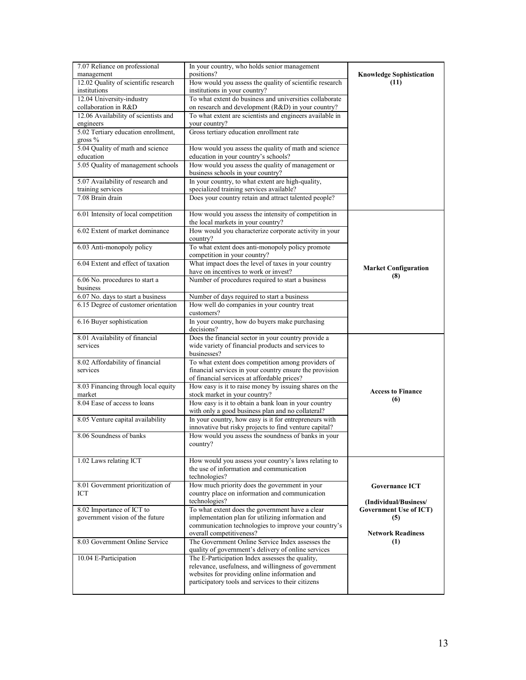| 7.07 Reliance on professional                     | In your country, who holds senior management                                                          |                                                        |
|---------------------------------------------------|-------------------------------------------------------------------------------------------------------|--------------------------------------------------------|
| management                                        | positions?                                                                                            | <b>Knowledge Sophistication</b>                        |
| 12.02 Quality of scientific research              | How would you assess the quality of scientific research                                               | (11)                                                   |
| institutions                                      | institutions in your country?                                                                         |                                                        |
| 12.04 University-industry                         | To what extent do business and universities collaborate                                               |                                                        |
| collaboration in R&D                              | on research and development (R&D) in your country?                                                    |                                                        |
| 12.06 Availability of scientists and<br>engineers | To what extent are scientists and engineers available in                                              |                                                        |
| 5.02 Tertiary education enrollment,               | your country?<br>Gross tertiary education enrollment rate                                             |                                                        |
| gross $%$                                         |                                                                                                       |                                                        |
| 5.04 Quality of math and science                  | How would you assess the quality of math and science                                                  |                                                        |
| education                                         | education in your country's schools?                                                                  |                                                        |
| 5.05 Quality of management schools                | How would you assess the quality of management or                                                     |                                                        |
|                                                   | business schools in your country?                                                                     |                                                        |
| 5.07 Availability of research and                 | In your country, to what extent are high-quality,                                                     |                                                        |
| training services                                 | specialized training services available?                                                              |                                                        |
| 7.08 Brain drain                                  | Does your country retain and attract talented people?                                                 |                                                        |
|                                                   |                                                                                                       |                                                        |
| 6.01 Intensity of local competition               | How would you assess the intensity of competition in                                                  |                                                        |
|                                                   | the local markets in your country?                                                                    |                                                        |
| 6.02 Extent of market dominance                   | How would you characterize corporate activity in your                                                 |                                                        |
|                                                   | country?                                                                                              |                                                        |
| 6.03 Anti-monopoly policy                         | To what extent does anti-monopoly policy promote                                                      |                                                        |
| 6.04 Extent and effect of taxation                | competition in your country?<br>What impact does the level of taxes in your country                   |                                                        |
|                                                   | have on incentives to work or invest?                                                                 | <b>Market Configuration</b>                            |
| 6.06 No. procedures to start a                    | Number of procedures required to start a business                                                     | (8)                                                    |
| business                                          |                                                                                                       |                                                        |
| 6.07 No. days to start a business                 | Number of days required to start a business                                                           |                                                        |
| 6.15 Degree of customer orientation               | How well do companies in your country treat                                                           |                                                        |
|                                                   | customers?                                                                                            |                                                        |
| 6.16 Buyer sophistication                         | In your country, how do buyers make purchasing                                                        |                                                        |
|                                                   | decisions?                                                                                            |                                                        |
| 8.01 Availability of financial                    | Does the financial sector in your country provide a                                                   |                                                        |
| services                                          | wide variety of financial products and services to                                                    |                                                        |
|                                                   | businesses?                                                                                           |                                                        |
| 8.02 Affordability of financial                   | To what extent does competition among providers of                                                    |                                                        |
| services                                          | financial services in your country ensure the provision                                               |                                                        |
| 8.03 Financing through local equity               | of financial services at affordable prices?<br>How easy is it to raise money by issuing shares on the |                                                        |
| market                                            | stock market in your country?                                                                         | <b>Access to Finance</b>                               |
| 8.04 Ease of access to loans                      | How easy is it to obtain a bank loan in your country                                                  | (6)                                                    |
|                                                   | with only a good business plan and no collateral?                                                     |                                                        |
| 8.05 Venture capital availability                 | In your country, how easy is it for entrepreneurs with                                                |                                                        |
|                                                   | innovative but risky projects to find venture capital?                                                |                                                        |
| 8.06 Soundness of banks                           | How would you assess the soundness of banks in your                                                   |                                                        |
|                                                   | country?                                                                                              |                                                        |
|                                                   |                                                                                                       |                                                        |
| 1.02 Laws relating ICT                            | How would you assess your country's laws relating to                                                  |                                                        |
|                                                   | the use of information and communication                                                              |                                                        |
|                                                   | technologies?                                                                                         |                                                        |
| 8.01 Government prioritization of                 | How much priority does the government in your                                                         | <b>Governance ICT</b>                                  |
| ICT                                               | country place on information and communication                                                        |                                                        |
| 8.02 Importance of ICT to                         | technologies?<br>To what extent does the government have a clear                                      | (Individual/Business/<br><b>Government Use of ICT)</b> |
| government vision of the future                   | implementation plan for utilizing information and                                                     | (5)                                                    |
|                                                   | communication technologies to improve your country's                                                  |                                                        |
|                                                   | overall competitiveness?                                                                              | <b>Network Readiness</b>                               |
| 8.03 Government Online Service                    | The Government Online Service Index assesses the                                                      | (1)                                                    |
|                                                   | quality of government's delivery of online services                                                   |                                                        |
| 10.04 E-Participation                             | The E-Participation Index assesses the quality,                                                       |                                                        |
|                                                   | relevance, usefulness, and willingness of government                                                  |                                                        |
|                                                   | websites for providing online information and                                                         |                                                        |
|                                                   | participatory tools and services to their citizens                                                    |                                                        |
|                                                   |                                                                                                       |                                                        |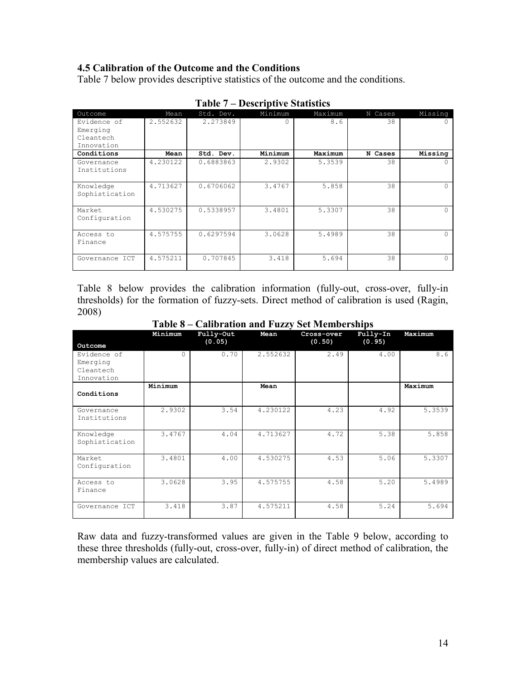# **4.5 Calibration of the Outcome and the Conditions**

Table 7 below provides descriptive statistics of the outcome and the conditions.

| Outcome        | Mean     | Std. Dev. | Minimum | Maximum | N Cases | Missing |
|----------------|----------|-----------|---------|---------|---------|---------|
| Evidence of    | 2.552632 | 2.273849  | 0       | 8.6     | 38      |         |
| Emerging       |          |           |         |         |         |         |
| Cleantech      |          |           |         |         |         |         |
| Innovation     |          |           |         |         |         |         |
| Conditions     | Mean     | Std. Dev. | Minimum | Maximum | N Cases | Missing |
| Governance     | 4.230122 | 0.6883863 | 2.9302  | 5.3539  | 38      |         |
| Institutions   |          |           |         |         |         |         |
|                |          |           |         |         |         |         |
| Knowledge      | 4.713627 | 0.6706062 | 3.4767  | 5.858   | 38      | U       |
| Sophistication |          |           |         |         |         |         |
| Market         | 4.530275 | 0.5338957 | 3.4801  | 5.3307  | 38      |         |
| Configuration  |          |           |         |         |         |         |
|                |          |           |         |         |         |         |
| Access to      | 4.575755 | 0.6297594 | 3.0628  | 5.4989  | 38      |         |
| Finance        |          |           |         |         |         |         |
|                |          |           |         |         |         |         |
| Governance ICT | 4.575211 | 0.707845  | 3.418   | 5.694   | 38      | 0       |
|                |          |           |         |         |         |         |

**Table 7 – Descriptive Statistics** 

Table 8 below provides the calibration information (fully-out, cross-over, fully-in thresholds) for the formation of fuzzy-sets. Direct method of calibration is used (Ragin, 2008)

| Outcome        | Minimum  | Fully-Out<br>(0.05) | Mean     | Cross-over<br>(0.50) | Fully-In<br>(0.95) | Maximum |
|----------------|----------|---------------------|----------|----------------------|--------------------|---------|
| Evidence of    | $\Omega$ | 0.70                | 2.552632 | 2.49                 | 4.00               | 8.6     |
| Emerging       |          |                     |          |                      |                    |         |
| Cleantech      |          |                     |          |                      |                    |         |
| Innovation     |          |                     |          |                      |                    |         |
|                | Minimum  |                     | Mean     |                      |                    | Maximum |
| Conditions     |          |                     |          |                      |                    |         |
| Governance     | 2.9302   | 3.54                | 4.230122 | 4.23                 | 4.92               | 5.3539  |
| Institutions   |          |                     |          |                      |                    |         |
| Knowledge      | 3.4767   | 4.04                | 4.713627 | 4.72                 | 5.38               | 5.858   |
| Sophistication |          |                     |          |                      |                    |         |
| Market         | 3.4801   | 4.00                | 4.530275 | 4.53                 | 5.06               | 5.3307  |
| Configuration  |          |                     |          |                      |                    |         |
| Access to      | 3.0628   | 3.95                | 4.575755 | 4.58                 | 5.20               | 5.4989  |
| Finance        |          |                     |          |                      |                    |         |
| Governance ICT | 3.418    | 3.87                | 4.575211 | 4.58                 | 5.24               | 5.694   |

**Table 8 – Calibration and Fuzzy Set Memberships** 

Raw data and fuzzy-transformed values are given in the Table 9 below, according to these three thresholds (fully-out, cross-over, fully-in) of direct method of calibration, the membership values are calculated.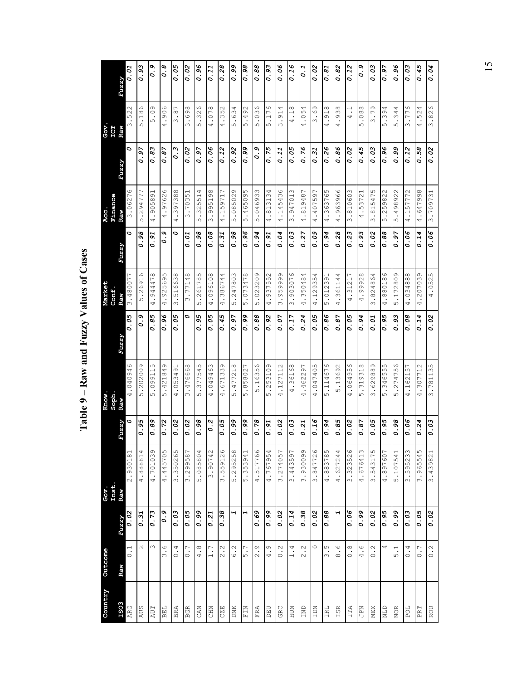| Country        | Outcome           |       | Gov.         |       | Know.                      |              | Market                  |       | Acc.           |       | Gov             |       |
|----------------|-------------------|-------|--------------|-------|----------------------------|--------------|-------------------------|-------|----------------|-------|-----------------|-------|
| ESO3           | Raw               | Fuzzy | Inst.<br>Raw | Fuzzy | Soph.<br>Raw               | Fuzzv        | Conf.<br>Raw            | Fuzzy | Finance<br>Raw | Fuzzy | ICI<br>Raw      | Fuzzy |
| ARG            | $\overline{0}$ .  | 0.02  | 2.930181     | ∘     | $\circ$<br>04094<br>.<br>پ | 0.05         | 3.480077                | Ó     | 3.06276        | Ó     | 522<br>         | 0.01  |
| <b>AUS</b>     | $\sim$            | 0.31  | 4.888814     | 0.95  | 5.202009                   | o.9          | $\circ$<br>5.2691       | 0.98  | 5.294777       | 0.97  | 5.186           | 0.93  |
| AUT            | $\infty$          | 0.73  | 4.701039     | 0.89  | ഗ<br>.09911<br>ഗ           | 0.85         | 4.944478                | 0.91  | 4.905891       | 0.83  | 5.09            | 0.9   |
| BEL            | 9.6               | o.9   | 4.445705     | 0.72  | O)<br>.42184<br>ഗ          | 0.96         | ഗ<br>4.92569            | o . o | 4.97626        | 0.87  | 4.906           | o . 6 |
| <b>BRA</b>     | 0.4               | 0.03  | 3.350265     | 0.02  | 4.053491                   | 0.05         | 3.516638                | O     | 4.397388       | 0.3   | 3.87            | 0.05  |
| <b>BGR</b>     | $\overline{C}$ .  | 0.05  | 3.299587     | 0.02  | .476668<br>$\infty$        | 0            | 3.77148                 | 0.01  | 3.70351        | 0.02  | 3.698           | 0.02  |
| <b>CAN</b>     | 4.8               | 0.99  | 5.085804     | 0.98  | ഗ<br>37754<br>ഗ            | 95<br>.<br>ہ | ഗ<br>.26178<br>ഥ        | 0.98  | .325514<br>ഗ   | 0.97  | $\circ$<br>5.32 | 0.96  |
| <b>CHN</b>     | 1.7               | 0.21  | 3.90742      | 0.2   | 4.049463                   | 0.05         | 4.096108                | 0.08  | 3.995198       | 0.06  | 4.078           | 0.11  |
| <b>CZE</b>     | 2.2               | 0.38  | 3.559126     | 0.05  | σ<br>67133<br>4            | 0.45         | 4.386744                | 0.31  | 4.159717       | 0.12  | 4.352           | 0.28  |
| <b>DNK</b>     | 6.2               | ч     | 5.295258     | 0.99  | .477218<br>ഥ               | 0.97         | 5.247803                | 0.98  | 5.085029       | 0.92  | 5.634           | 0.99  |
| $_{\rm F\,IM}$ | 5.7               | H     | 5.353941     | 0.99  | .858027<br>5               | 0.99         | 5.073478                | 0.96  | 5.465095       | 0.99  | 5.492           | 0.98  |
| <b>FRA</b>     | 2.9               | 0.69  | 4.517766     | 0.78  | 5.16356                    | 0.88         | 5.023209                | 0.94  | 5.046933       | 0.9   | .036<br>ഗ       | 0.88  |
| DEU            | 4.9               | 0.99  | 4.767954     | 0.91  | .253109<br>ഗ               | 0.92         | 937552<br>$\frac{1}{4}$ | 0.91  | 4.813134       | 0.75  | 5.176           | 0.93  |
| GRC            | $\frac{2}{\cdot}$ | 0.02  | 3.274057     | 0.02  | .127112<br>4               | 0.07         | 3.959999                | 0.04  | .145436<br>4   | 0.11  | 3.914           | 0.06  |
| <b>NUH</b>     | $\frac{4}{1}$     | 0.14  | 3.443597     | 0.03  | 4.36168                    | 0.17         | 3.903076                | 0.03  | 3.947013       | 0.05  | 4.18            | 0.16  |
| IND            | 2.2               | 0.38  | 3.930099     | 0.21  | .462297<br>4               | 0.24         | 4.350484                | 0.27  | 4.819487       | 0.76  | 4.054           | 0.1   |
| IDN            | $\circ$           | 0.02  | 3.847726     | 0.16  | .047405<br>4               | 0.05         | 4.129354                | 0.09  | 407597<br>4    | 0.31  | 3.69            | 0.02  |
| IRL            | ς<br>ε            | 0.88  | 4.883785     | 0.94  | .114676<br>ഗ               | 0.86         | 5.012391                | 0.94  | 4.363765       | 0.26  | 4.918           | 0.81  |
| ISR            | $\frac{6}{8}$ .   | H     | 4.627244     | 0.85  | 5.13692                    | 0.87         | 4.361144                | 0.28  | .963966<br>4   | 0.86  | 4.938           | 0.82  |
| ITA            | $\frac{8}{10}$    | 0.06  | 3.323526     | 0.02  | .064956<br>4               | 0.05         | .31217<br>4             | 0.23  | 3.810603       | 0.02  | 4.1             | 0.12  |
| NdP            | $-6$              | 0.99  | 4.676413     | 0.87  | 319318<br>5                | 0.94         | .99928<br>4             | 0.93  | 4.53721        | 0.45  | 5.088           | o . o |
| MEX            | $\frac{2}{\cdot}$ | 0.02  | 3.543175     | 0.05  | 3.629889                   | 0.01         | 3.824864                | 0.02  | 3.815475       | 0.03  | 3.79            | 0.03  |
| <b>NLD</b>     | 4                 | 0.95  | 4.897607     | 0.95  | ഗ<br>34655.<br>ഗ           | 0.95         | 4.880186                | 0.88  | 5.259822       | 0.96  | 5.394           | 0.97  |
| <b>NOR</b>     | $\frac{1}{2}$     | 0.99  | 5.107541     | 0.98  | .274756<br>ഗ               | 0.93         | Ō<br>5.17280            | 0.97  | 5.498922       | 0.99  | 5.344           | 0.96  |
| <b>FOL</b>     | 0.4               | 0.03  | 3.595233     | 0.06  | 4.162157                   | 0.08         | 4.034888                | 0.06  | 4.157772       | 0.12  | 3.776           | 0.03  |
| PRT            | $\overline{C}$ .  | 0.05  | 3.965545     | 0.24  | 4.307712                   | 0.14         | 4.207039                | 0.14  | 4.647998       | 0.58  | 4.524           | 0.45  |
| ROU            | $\frac{2}{3}$     | 0.02  | 3.439821     | 0.03  | 3.781135                   | 0.02         | 4.0525                  | 0.06  | 3.709731       | 0.02  | 3.826           | 0.04  |

Table 9 - Raw and Fuzzy Values of Cases **Table 9 – Raw and Fuzzy Values of Cases**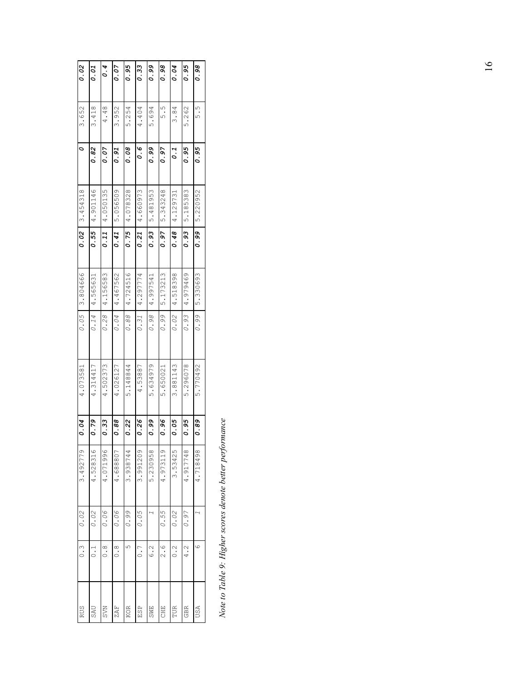| 0.02            | 0.01     | 0.4               | 0.07              | 0.95     | 0.33              | 0.99              | 0.98     | 0.04              | 0.95       | 0.98     |
|-----------------|----------|-------------------|-------------------|----------|-------------------|-------------------|----------|-------------------|------------|----------|
| $0 \mid 3.652$  | 3.418    | 4.48              | 3.952             | 5.254    | 4.404             | 5.694             | ς<br>Θ   | 3.84              | 5.262      | ς<br>ς   |
|                 | 0.82     | 0.07              | 0.91              | 0.08     | ه .<br>ه          | 0.99              | 0.97     | $\overline{0}.1$  | 0.95       | 0.95     |
| $0.02$ 3.454318 | 4.901146 | 4.050135          | 5.056509          | 4.078328 | $0.21$   4.660973 | 5.481953          | 5.343248 | $0.48$   4.129731 | 5.185383   | 5.220952 |
|                 | 0.55     | 0.11              | 0.41              | 0.75     |                   | 0.93              | 0.97     |                   | 0.93       | 0.99     |
| 0.05 3.804666   | 4.565631 | $0.28$   4.156583 | $0.04$   4.467562 | 4.724516 | $0.31$   4.297774 | $0.98$   4.997541 | 5.173213 | $0.02$   4.518398 | 4.979469   | 5.330693 |
|                 | 0.14     |                   |                   | 0.88     |                   |                   | 0.99     |                   | 0.93       | 0.99     |
| 4.073581        | 4.314417 | 4.502373          | 4.026127          | 5.148844 | 4.53887           | 5.634979          | 5.650021 | 3.881143          | 5.296078   | 5.770492 |
| 0.04            | 0.79     | 0.33              | 0.88              | 0.22     | 0.26              | 0.99              | 0.96     | 0.05              | 0.95       | 0.89     |
| 3.492779        | 4.528316 | 4.071996          | 4.688807          | 3.938744 | 3.991209          | 5.230958          | 4.973119 | 3.53425           | 4.917748   | 4.718498 |
| 0.02            | 0.02     | 0.06              | 0.06              | 0.99     | 0.05              |                   | 0.55     | 0.02              | 0.97       |          |
| 0.31            | ا.<br>ا  | $\frac{8}{10}$    | $\frac{8}{10}$    | ഗ        | $\overline{0}$ .  | $\frac{2}{6}$ .   | ू<br>२   | 0.2               |            | ဖ        |
| <b>RUS</b>      | SAU      | <b>SVN</b>        | ZAF <sup>1</sup>  | KOR      | ESP<br>E          | <b>SWE</b>        | CHE      | TUR               | <b>GBR</b> | USA      |

Note to Table 9: Higher scores denote better performance *Note to Table 9: Higher scores denote better performance*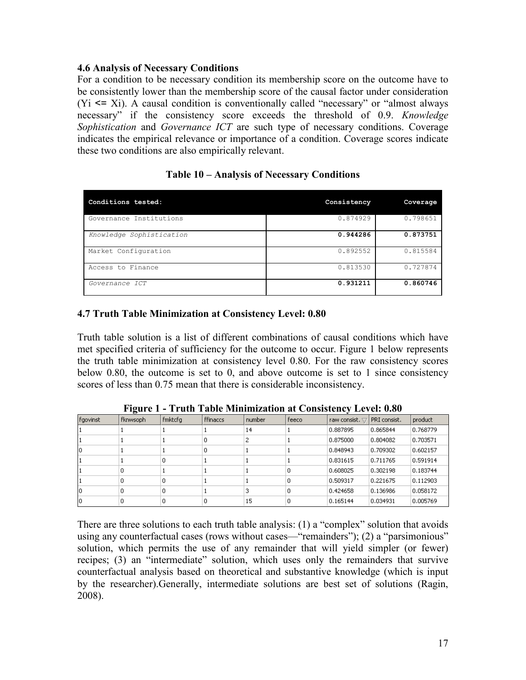#### **4.6 Analysis of Necessary Conditions**

For a condition to be necessary condition its membership score on the outcome have to be consistently lower than the membership score of the causal factor under consideration  $(Y_i \leq X_i)$ . A causal condition is conventionally called "necessary" or "almost always" necessary" if the consistency score exceeds the threshold of 0.9. *Knowledge Sophistication* and *Governance ICT* are such type of necessary conditions. Coverage indicates the empirical relevance or importance of a condition. Coverage scores indicate these two conditions are also empirically relevant.

| Conditions tested:       | Consistency | Coverage |
|--------------------------|-------------|----------|
| Governance Institutions  | 0.874929    | 0.798651 |
| Knowledge Sophistication | 0.944286    | 0.873751 |
| Market Configuration     | 0.892552    | 0.815584 |
| Access to Finance        | 0.813530    | 0.727874 |
| Governance ICT           | 0.931211    | 0.860746 |

# **Table 10 – Analysis of Necessary Conditions**

# **4.7 Truth Table Minimization at Consistency Level: 0.80**

Truth table solution is a list of different combinations of causal conditions which have met specified criteria of sufficiency for the outcome to occur. Figure 1 below represents the truth table minimization at consistency level 0.80. For the raw consistency scores below 0.80, the outcome is set to 0, and above outcome is set to 1 since consistency scores of less than 0.75 mean that there is considerable inconsistency.

|          | -        |         |          |        |       |                       |              |          |
|----------|----------|---------|----------|--------|-------|-----------------------|--------------|----------|
| fgovinst | fknwsoph | fmktcfg | ffinaccs | number | feeco | raw consist. $\nabla$ | PRI consist. | product  |
|          |          |         |          | 14     |       | 0.887895              | 0.865844     | 0.768779 |
|          |          |         | 0        | 2      |       | 0.875000              | 0.804082     | 0.703571 |
| lo       |          |         | 0        |        |       | 0.848943              | 0.709302     | 0.602157 |
|          |          | 0       |          |        |       | 0.831615              | 0.711765     | 0.591914 |
|          | 0        |         |          |        | 0     | 0.608025              | 0.302198     | 0.183744 |
|          | 0        | 0       |          |        | 0     | 0.509317              | 0.221675     | 0.112903 |
| 10       | 0        | 0       |          | 3      | 0     | 0.424658              | 0.136986     | 0.058172 |
| lo       | 0        | 0       | 0        | 15     | 0     | 0.165144              | 0.034931     | 0.005769 |

**Figure 1 - Truth Table Minimization at Consistency Level: 0.80** 

There are three solutions to each truth table analysis: (1) a "complex" solution that avoids using any counterfactual cases (rows without cases—"remainders"); (2) a "parsimonious" solution, which permits the use of any remainder that will yield simpler (or fewer) recipes; (3) an "intermediate" solution, which uses only the remainders that survive counterfactual analysis based on theoretical and substantive knowledge (which is input by the researcher).Generally, intermediate solutions are best set of solutions (Ragin, 2008).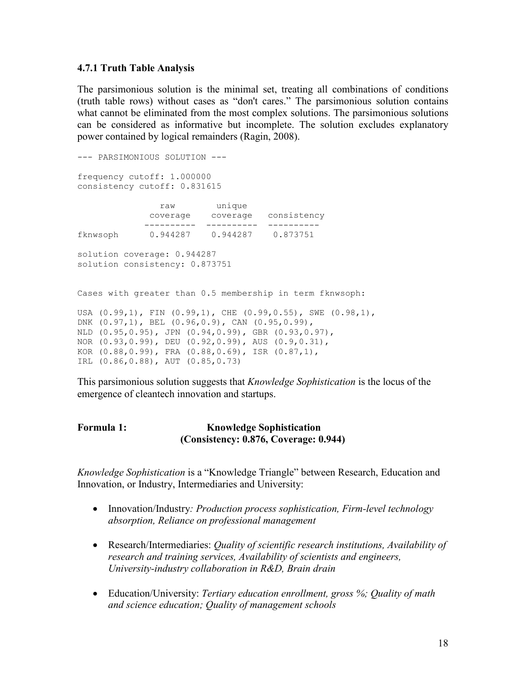#### **4.7.1 Truth Table Analysis**

The parsimonious solution is the minimal set, treating all combinations of conditions (truth table rows) without cases as "don't cares." The parsimonious solution contains what cannot be eliminated from the most complex solutions. The parsimonious solutions can be considered as informative but incomplete. The solution excludes explanatory power contained by logical remainders (Ragin, 2008).

```
--- PARSIMONIOUS SOLUTION --- 
frequency cutoff: 1.000000 
consistency cutoff: 0.831615 
                raw unique 
              coverage coverage consistency 
             ---------- ---------- ---------- 
fknwsoph 0.944287 0.944287 0.873751 
solution coverage: 0.944287 
solution consistency: 0.873751 
Cases with greater than 0.5 membership in term fknwsoph: 
USA (0.99,1), FIN (0.99,1), CHE (0.99,0.55), SWE (0.98,1), 
DNK (0.97,1), BEL (0.96,0.9), CAN (0.95,0.99), 
NLD (0.95,0.95), JPN (0.94,0.99), GBR (0.93,0.97), 
NOR (0.93,0.99), DEU (0.92,0.99), AUS (0.9,0.31), 
KOR (0.88,0.99), FRA (0.88,0.69), ISR (0.87,1), 
IRL (0.86,0.88), AUT (0.85,0.73)
```
This parsimonious solution suggests that *Knowledge Sophistication* is the locus of the emergence of cleantech innovation and startups.

# **Formula 1: Knowledge Sophistication (Consistency: 0.876, Coverage: 0.944)**

*Knowledge Sophistication* is a "Knowledge Triangle" between Research, Education and Innovation, or Industry, Intermediaries and University:

- Innovation/Industry*: Production process sophistication, Firm-level technology absorption, Reliance on professional management*
- Research/Intermediaries: *Quality of scientific research institutions, Availability of research and training services, Availability of scientists and engineers, University-industry collaboration in R&D, Brain drain*
- Education/University: *Tertiary education enrollment, gross %; Quality of math and science education; Quality of management schools*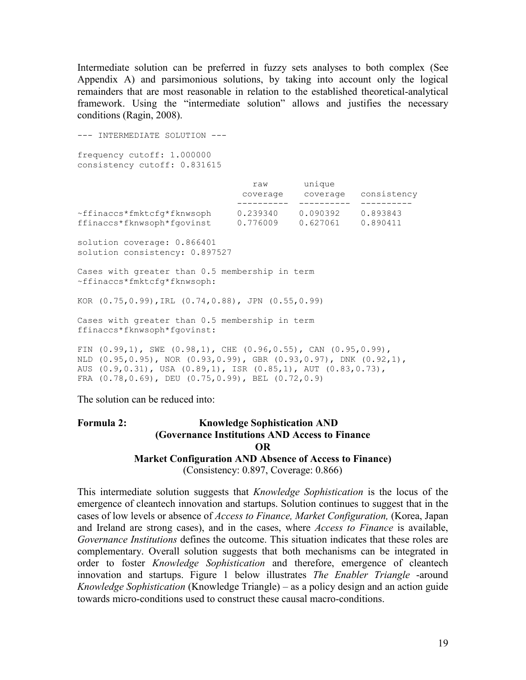Intermediate solution can be preferred in fuzzy sets analyses to both complex (See Appendix A) and parsimonious solutions, by taking into account only the logical remainders that are most reasonable in relation to the established theoretical-analytical framework. Using the "intermediate solution" allows and justifies the necessary conditions (Ragin, 2008).

--- INTERMEDIATE SOLUTION -- frequency cutoff: 1.000000 consistency cutoff: 0.831615 raw unique coverage coverage consistency ---------- ---------- ---------- ~ffinaccs\*fmktcfg\*fknwsoph 0.239340 0.090392 0.893843 ffinaccs\*fknwsoph\*fgovinst 0.776009 0.627061 0.890411 solution coverage: 0.866401 solution consistency: 0.897527 Cases with greater than 0.5 membership in term ~ffinaccs\*fmktcfg\*fknwsoph: KOR (0.75,0.99),IRL (0.74,0.88), JPN (0.55,0.99) Cases with greater than 0.5 membership in term ffinaccs\*fknwsoph\*fgovinst: FIN (0.99,1), SWE (0.98,1), CHE (0.96,0.55), CAN (0.95,0.99), NLD (0.95,0.95), NOR (0.93,0.99), GBR (0.93,0.97), DNK (0.92,1), AUS (0.9,0.31), USA (0.89,1), ISR (0.85,1), AUT (0.83,0.73), FRA (0.78,0.69), DEU (0.75,0.99), BEL (0.72,0.9)

The solution can be reduced into:

#### Formula 2: **Knowledge Sophistication AND (Governance Institutions AND Access to Finance OR Market Configuration AND Absence of Access to Finance)**  (Consistency: 0.897, Coverage: 0.866)

This intermediate solution suggests that *Knowledge Sophistication* is the locus of the emergence of cleantech innovation and startups. Solution continues to suggest that in the cases of low levels or absence of *Access to Finance, Market Configuration,* (Korea, Japan and Ireland are strong cases), and in the cases, where *Access to Finance* is available, *Governance Institutions* defines the outcome. This situation indicates that these roles are complementary. Overall solution suggests that both mechanisms can be integrated in order to foster *Knowledge Sophistication* and therefore, emergence of cleantech innovation and startups. Figure 1 below illustrates *The Enabler Triangle* -around *Knowledge Sophistication* (Knowledge Triangle) – as a policy design and an action guide towards micro-conditions used to construct these causal macro-conditions.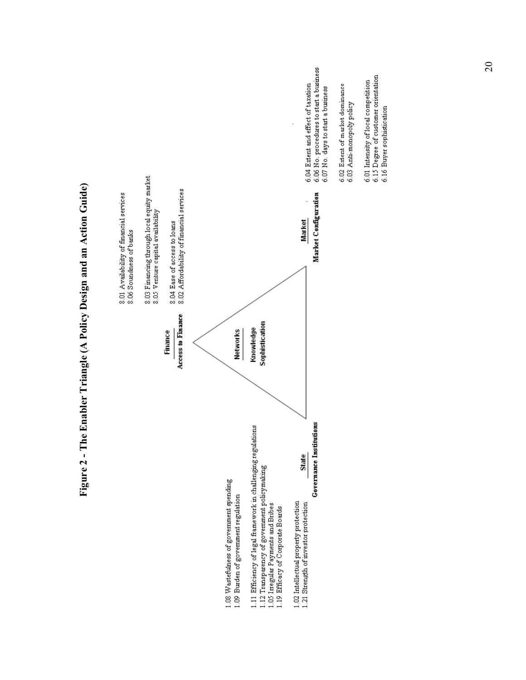

20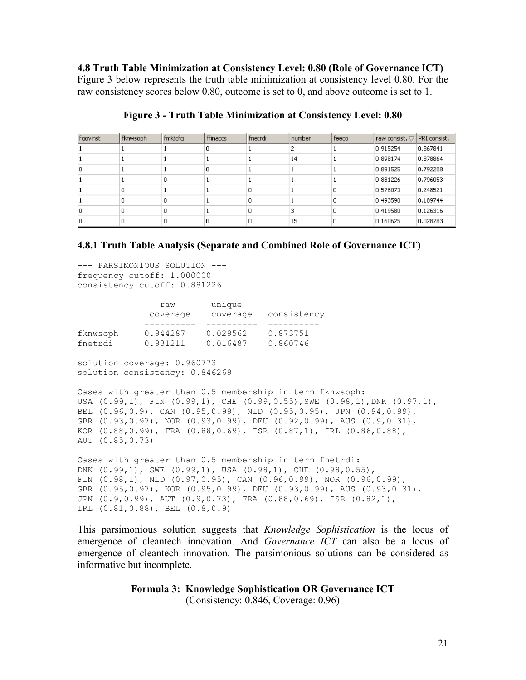**4.8 Truth Table Minimization at Consistency Level: 0.80 (Role of Governance ICT)**  Figure 3 below represents the truth table minimization at consistency level 0.80. For the raw consistency scores below 0.80, outcome is set to 0, and above outcome is set to 1.

| fgovinst | fknwsoph | fmktcfg | ffinaccs | fnetrdi | number | feeco | raw consist. $\bigtriangledown$ | PRI consist. |
|----------|----------|---------|----------|---------|--------|-------|---------------------------------|--------------|
|          |          |         | 0        |         | 2      |       | 0.915254                        | 0.867841     |
|          |          |         |          |         | 14     |       | 0.898174                        | 0.878864     |
| ю        |          |         | 0        |         |        |       | 0.891525                        | 0.792208     |
|          |          | 0       |          |         |        |       | 0.881226                        | 0.796053     |
|          | 0        |         |          | 0       |        | 0     | 0.578073                        | 0.248521     |
|          | 0        | 0       |          | 0       |        | 0     | 0.493590                        | 0.189744     |
| 10       | 0        | 0       |          | 0       | 3      | 0     | 0.419580                        | 0.126316     |
|          | 0        | 0       | 0        | 0       | 15     | 0     | 0.160625                        | 0.028783     |

#### **Figure 3 - Truth Table Minimization at Consistency Level: 0.80**

#### **4.8.1 Truth Table Analysis (Separate and Combined Role of Governance ICT)**

--- PARSIMONIOUS SOLUTION -- frequency cutoff: 1.000000 consistency cutoff: 0.881226

|          | raw      | unique   |             |
|----------|----------|----------|-------------|
|          | coverage | coverage | consistency |
|          |          |          |             |
| fknwsoph | 0.944287 | 0.029562 | 0.873751    |
| fnetrdi  | 0.931211 | 0.016487 | 0.860746    |

solution coverage: 0.960773 solution consistency: 0.846269

Cases with greater than 0.5 membership in term fknwsoph: USA (0.99,1), FIN (0.99,1), CHE (0.99,0.55),SWE (0.98,1),DNK (0.97,1), BEL (0.96,0.9), CAN (0.95,0.99), NLD (0.95,0.95), JPN (0.94,0.99), GBR (0.93,0.97), NOR (0.93,0.99), DEU (0.92,0.99), AUS (0.9,0.31), KOR (0.88,0.99), FRA (0.88,0.69), ISR (0.87,1), IRL (0.86,0.88), AUT (0.85,0.73)

Cases with greater than 0.5 membership in term fnetrdi: DNK (0.99,1), SWE (0.99,1), USA (0.98,1), CHE (0.98,0.55), FIN (0.98,1), NLD (0.97,0.95), CAN (0.96,0.99), NOR (0.96,0.99), GBR (0.95,0.97), KOR (0.95,0.99), DEU (0.93,0.99), AUS (0.93,0.31), JPN (0.9,0.99), AUT (0.9,0.73), FRA (0.88,0.69), ISR (0.82,1), IRL (0.81,0.88), BEL (0.8,0.9)

This parsimonious solution suggests that *Knowledge Sophistication* is the locus of emergence of cleantech innovation. And *Governance ICT* can also be a locus of emergence of cleantech innovation. The parsimonious solutions can be considered as informative but incomplete.

#### **Formula 3: Knowledge Sophistication OR Governance ICT**  (Consistency: 0.846, Coverage: 0.96)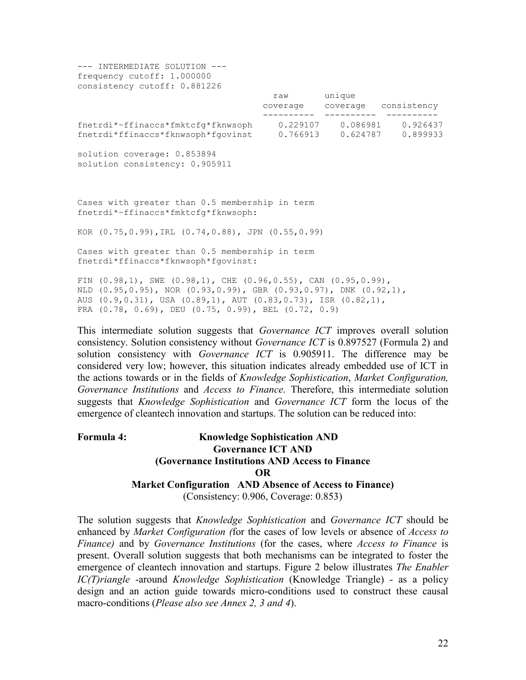| --- INTERMEDIATE SOLUTION ---<br>frequency cutoff: 1.000000<br>consistency cutoff: 0.881226                                                                                                                                   |                                     |                               |
|-------------------------------------------------------------------------------------------------------------------------------------------------------------------------------------------------------------------------------|-------------------------------------|-------------------------------|
|                                                                                                                                                                                                                               | raw unique<br>---------    -------- | coverage coverage consistency |
| fnetrdi*~ffinaccs*fmktcfg*fknwsoph  0.229107  0.086981  0.926437<br>fnetrdi*ffinaccs*fknwsoph*fgovinst  0.766913  0.624787  0.899933                                                                                          |                                     |                               |
| solution coverage: 0.853894<br>solution consistency: 0.905911                                                                                                                                                                 |                                     |                               |
| Cases with greater than 0.5 membership in term<br>fnetrdi*~ffinaccs*fmktcfq*fknwsoph:                                                                                                                                         |                                     |                               |
| KOR (0.75,0.99), IRL (0.74,0.88), JPN (0.55,0.99)                                                                                                                                                                             |                                     |                               |
| Cases with greater than 0.5 membership in term<br>fnetrdi*ffinaccs*fknwsoph*fqovinst:                                                                                                                                         |                                     |                               |
| FIN $(0.98,1)$ , SWE $(0.98,1)$ , CHE $(0.96,0.55)$ , CAN $(0.95,0.99)$ ,<br>NLD (0.95,0.95), NOR (0.93,0.99), GBR (0.93,0.97), DNK (0.92,1),<br>AUS $(0.9, 0.31)$ , USA $(0.89, 1)$ , AUT $(0.83, 0.73)$ , ISR $(0.82, 1)$ , |                                     |                               |

FRA (0.78, 0.69), DEU (0.75, 0.99), BEL (0.72, 0.9)

This intermediate solution suggests that *Governance ICT* improves overall solution consistency. Solution consistency without *Governance ICT* is 0.897527 (Formula 2) and solution consistency with *Governance ICT* is 0.905911. The difference may be considered very low; however, this situation indicates already embedded use of ICT in the actions towards or in the fields of *Knowledge Sophistication*, *Market Configuration, Governance Institutions* and *Access to Finance.* Therefore, this intermediate solution suggests that *Knowledge Sophistication* and *Governance ICT* form the locus of the emergence of cleantech innovation and startups. The solution can be reduced into:

# **Formula 4: Knowledge Sophistication AND Governance ICT AND (Governance Institutions AND Access to Finance OR Market Configuration AND Absence of Access to Finance)**  (Consistency: 0.906, Coverage: 0.853)

The solution suggests that *Knowledge Sophistication* and *Governance ICT* should be enhanced by *Market Configuration (*for the cases of low levels or absence of *Access to Finance)* and by *Governance Institutions* (for the cases, where *Access to Finance* is present. Overall solution suggests that both mechanisms can be integrated to foster the emergence of cleantech innovation and startups. Figure 2 below illustrates *The Enabler IC(T)riangle* -around *Knowledge Sophistication* (Knowledge Triangle) - as a policy design and an action guide towards micro-conditions used to construct these causal macro-conditions (*Please also see Annex 2, 3 and 4*).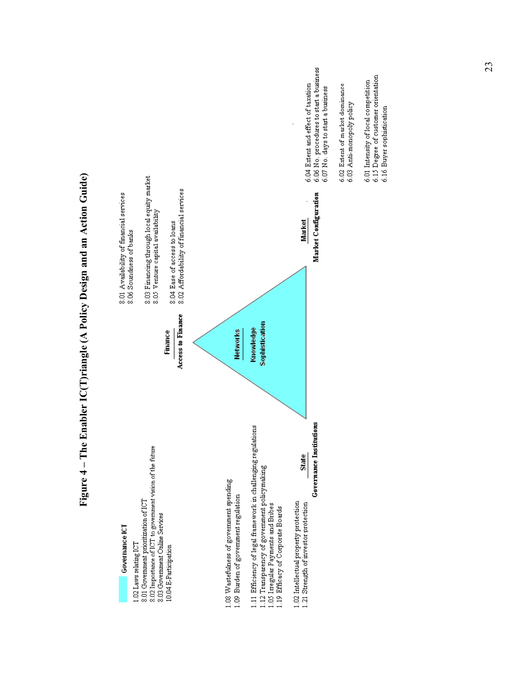

23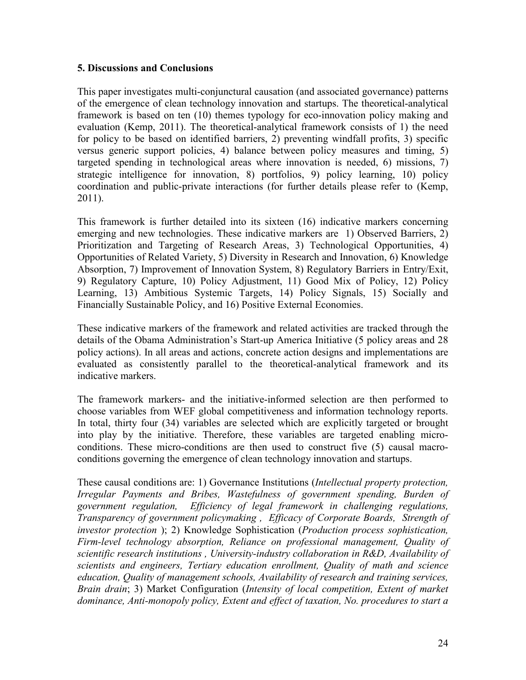#### **5. Discussions and Conclusions**

This paper investigates multi-conjunctural causation (and associated governance) patterns of the emergence of clean technology innovation and startups. The theoretical-analytical framework is based on ten (10) themes typology for eco-innovation policy making and evaluation (Kemp, 2011). The theoretical-analytical framework consists of 1) the need for policy to be based on identified barriers, 2) preventing windfall profits, 3) specific versus generic support policies, 4) balance between policy measures and timing, 5) targeted spending in technological areas where innovation is needed, 6) missions, 7) strategic intelligence for innovation, 8) portfolios, 9) policy learning, 10) policy coordination and public-private interactions (for further details please refer to (Kemp, 2011).

This framework is further detailed into its sixteen (16) indicative markers concerning emerging and new technologies. These indicative markers are 1) Observed Barriers, 2) Prioritization and Targeting of Research Areas, 3) Technological Opportunities, 4) Opportunities of Related Variety, 5) Diversity in Research and Innovation, 6) Knowledge Absorption, 7) Improvement of Innovation System, 8) Regulatory Barriers in Entry/Exit, 9) Regulatory Capture, 10) Policy Adjustment, 11) Good Mix of Policy, 12) Policy Learning, 13) Ambitious Systemic Targets, 14) Policy Signals, 15) Socially and Financially Sustainable Policy, and 16) Positive External Economies.

These indicative markers of the framework and related activities are tracked through the details of the Obama Administration's Start-up America Initiative (5 policy areas and 28 policy actions). In all areas and actions, concrete action designs and implementations are evaluated as consistently parallel to the theoretical-analytical framework and its indicative markers.

The framework markers- and the initiative-informed selection are then performed to choose variables from WEF global competitiveness and information technology reports. In total, thirty four (34) variables are selected which are explicitly targeted or brought into play by the initiative. Therefore, these variables are targeted enabling microconditions. These micro-conditions are then used to construct five (5) causal macroconditions governing the emergence of clean technology innovation and startups.

These causal conditions are: 1) Governance Institutions (*Intellectual property protection, Irregular Payments and Bribes, Wastefulness of government spending, Burden of government regulation, Efficiency of legal framework in challenging regulations, Transparency of government policymaking , Efficacy of Corporate Boards, Strength of investor protection* ); 2) Knowledge Sophistication (*Production process sophistication, Firm-level technology absorption, Reliance on professional management, Quality of scientific research institutions , University-industry collaboration in R&D, Availability of scientists and engineers, Tertiary education enrollment, Quality of math and science education, Quality of management schools, Availability of research and training services, Brain drain*; 3) Market Configuration (*Intensity of local competition, Extent of market dominance, Anti-monopoly policy, Extent and effect of taxation, No. procedures to start a*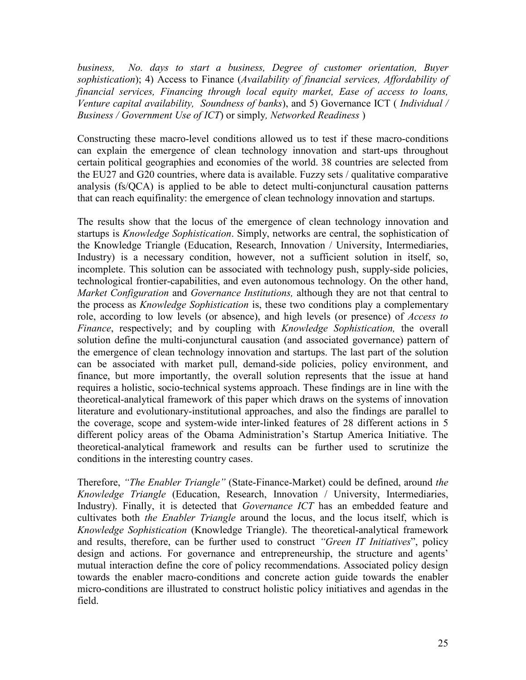*business, No. days to start a business, Degree of customer orientation, Buyer sophistication*); 4) Access to Finance (*Availability of financial services, Affordability of financial services, Financing through local equity market, Ease of access to loans, Venture capital availability, Soundness of banks*), and 5) Governance ICT ( *Individual / Business / Government Use of ICT*) or simply*, Networked Readiness* )

Constructing these macro-level conditions allowed us to test if these macro-conditions can explain the emergence of clean technology innovation and start-ups throughout certain political geographies and economies of the world. 38 countries are selected from the EU27 and G20 countries, where data is available. Fuzzy sets / qualitative comparative analysis (fs/QCA) is applied to be able to detect multi-conjunctural causation patterns that can reach equifinality: the emergence of clean technology innovation and startups.

The results show that the locus of the emergence of clean technology innovation and startups is *Knowledge Sophistication*. Simply, networks are central, the sophistication of the Knowledge Triangle (Education, Research, Innovation / University, Intermediaries, Industry) is a necessary condition, however, not a sufficient solution in itself, so, incomplete. This solution can be associated with technology push, supply-side policies, technological frontier-capabilities, and even autonomous technology. On the other hand, *Market Configuration* and *Governance Institutions,* although they are not that central to the process as *Knowledge Sophistication* is, these two conditions play a complementary role, according to low levels (or absence), and high levels (or presence) of *Access to Finance*, respectively; and by coupling with *Knowledge Sophistication,* the overall solution define the multi-conjunctural causation (and associated governance) pattern of the emergence of clean technology innovation and startups. The last part of the solution can be associated with market pull, demand-side policies, policy environment, and finance, but more importantly, the overall solution represents that the issue at hand requires a holistic, socio-technical systems approach. These findings are in line with the theoretical-analytical framework of this paper which draws on the systems of innovation literature and evolutionary-institutional approaches, and also the findings are parallel to the coverage, scope and system-wide inter-linked features of 28 different actions in 5 different policy areas of the Obama Administration's Startup America Initiative. The theoretical-analytical framework and results can be further used to scrutinize the conditions in the interesting country cases.

Therefore, *"The Enabler Triangle"* (State-Finance-Market) could be defined, around *the Knowledge Triangle* (Education, Research, Innovation / University, Intermediaries, Industry). Finally, it is detected that *Governance ICT* has an embedded feature and cultivates both *the Enabler Triangle* around the locus, and the locus itself, which is *Knowledge Sophistication* (Knowledge Triangle). The theoretical-analytical framework and results, therefore, can be further used to construct *"Green IT Initiatives*", policy design and actions. For governance and entrepreneurship, the structure and agents' mutual interaction define the core of policy recommendations. Associated policy design towards the enabler macro-conditions and concrete action guide towards the enabler micro-conditions are illustrated to construct holistic policy initiatives and agendas in the field.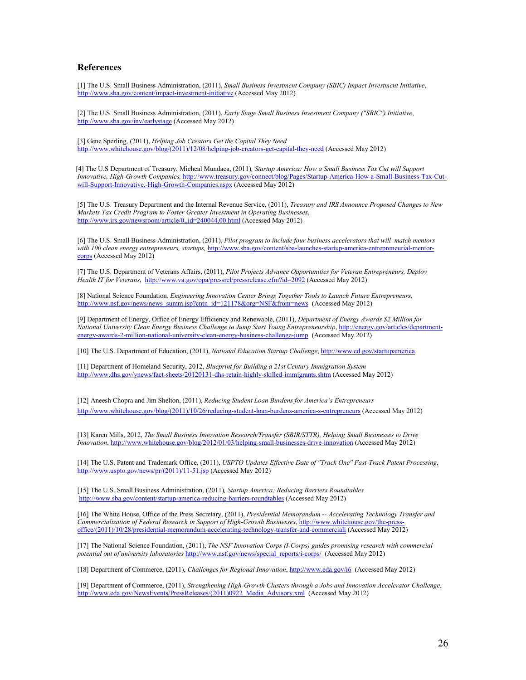#### **References**

[1] The U.S. Small Business Administration, (2011), *Small Business Investment Company (SBIC) Impact Investment Initiative*, [http://www.sba.gov/content/impact-investment-initiative \(](http://www.sba.gov/content/impact-investment-initiative)Accessed May 2012)

[2] The U.S. Small Business Administration, (2011), *Early Stage Small Business Investment Company ("SBIC") Initiative*, [http://www.sba.gov/inv/earlystage \(](http://www.sba.gov/inv/earlystage)Accessed May 2012)

[3] Gene Sperling, (2011), *Helping Job Creators Get the Capital They Need* [http://www.whitehouse.gov/blog/\(2011\)/12/08/helping-job-creators-get-capital-they-need \(](http://www.whitehouse.gov/blog/2011/12/08/helping-job-creators-get-capital-they-need)Accessed May 2012)

 [4] The U.S Department of Treasury, Micheal Mundaca, (2011)*, Startup America: How a Small Business Tax Cut will Support Innovative, High-Growth Companies,* [http://www.treasury.gov/connect/blog/Pages/Startup-America-How-a-Small-Business-Tax-Cut](http://www.treasury.gov/connect/blog/Pages/Startup-America-How-a-Small-Business-Tax-Cut-will-Support-Innovative%2C-High-Growth-Companies.aspx)[will-Support-Innovative,-High-Growth-Companies.aspx \(](http://www.treasury.gov/connect/blog/Pages/Startup-America-How-a-Small-Business-Tax-Cut-will-Support-Innovative%2C-High-Growth-Companies.aspx)Accessed May 2012)

[5] The U.S. Treasury Department and the Internal Revenue Service, (2011), *Treasury and IRS Announce Proposed Changes to New Markets Tax Credit Program to Foster Greater Investment in Operating Businesses*, [http://www.irs.gov/newsroom/article/0,,id=240044,00.html](http://www.irs.gov/newsroom/article/0%2C%2Cid=240044%2C00.html) (Accessed May 2012)

[6] The U.S. Small Business Administration, (2011), *Pilot program to include four business accelerators that will match mentors with 100 clean energy entrepreneurs, startups,* [http://www.sba.gov/content/sba-launches-startup-america-entrepreneurial-mentor](http://www.sba.gov/content/sba-launches-startup-america-entrepreneurial-mentor-corps)[corps \(](http://www.sba.gov/content/sba-launches-startup-america-entrepreneurial-mentor-corps)Accessed May 2012)

[7] The U.S. Department of Veterans Affairs, (2011), *Pilot Projects Advance Opportunities for Veteran Entrepreneurs, Deploy Health IT for Veterans*, [http://www.va.gov/opa/pressrel/pressrelease.cfm?id=2092 \(](http://www.va.gov/opa/pressrel/pressrelease.cfm?id=2092)Accessed May 2012)

[8] National Science Foundation, *Engineering Innovation Center Brings Together Tools to Launch Future Entrepreneurs*, [http://www.nsf.gov/news/news\\_summ.jsp?cntn\\_id=121178&org=NSF&from=news](http://www.nsf.gov/news/news_summ.jsp?cntn_id=121178&org=NSF&from=news) (Accessed May 2012)

[9] Department of Energy, Office of Energy Efficiency and Renewable, (2011), *Department of Energy Awards \$2 Million for National University Clean Energy Business Challenge to Jump Start Young Entrepreneurship*, [http://energy.gov/articles/department](http://energy.gov/articles/department-energy-awards-2-million-national-university-clean-energy-business-challenge-jump)[energy-awards-2-million-national-university-clean-energy-business-challenge-jump](http://energy.gov/articles/department-energy-awards-2-million-national-university-clean-energy-business-challenge-jump) (Accessed May 2012)

[10] The U.S. Department of Education, (2011), *National Education Startup Challenge*, <http://www.ed.gov/startupamerica>

[11] Department of Homeland Security, 2012, *Blueprint for Building a 21st Century Immigration System*  [http://www.dhs.gov/ynews/fact-sheets/20120131-dhs-retain-highly-skilled-immigrants.shtm \(](http://www.dhs.gov/ynews/fact-sheets/20120131-dhs-retain-highly-skilled-immigrants.shtm)Accessed May 2012)

[12] Aneesh Chopra and Jim Shelton, (2011), *Reducing Student Loan Burdens for America's Entrepreneurs* [http://www.whitehouse.gov/blog/\(2011\)/10/26/reducing-student-loan-burdens-america-s-entrepreneurs \(](http://www.whitehouse.gov/blog/2011/10/26/reducing-student-loan-burdens-america-s-entrepreneurs)Accessed May 2012)

[13] Karen Mills, 2012, *The Small Business Innovation Research/Transfer (SBIR/STTR), Helping Small Businesses to Drive Innovation*, [http://www.whitehouse.gov/blog/2012/01/03/helping-small-businesses-drive-innovation \(](http://www.whitehouse.gov/blog/2012/01/03/helping-small-businesses-drive-innovation)Accessed May 2012)

[14] The U.S. Patent and Trademark Office, (2011), *USPTO Updates Effective Date of "Track One" Fast-Track Patent Processing*, [http://www.uspto.gov/news/pr/\(2011\)/11-51.jsp \(](http://www.uspto.gov/news/pr/2011/11-51.jsp)Accessed May 2012)

[15] The U.S. Small Business Administration, (2011)*, Startup America: Reducing Barriers Roundtables* [http://www.sba.gov/content/startup-america-reducing-barriers-roundtables \(](http://www.sba.gov/content/startup-america-reducing-barriers-roundtables)Accessed May 2012)

[16] The White House, Office of the Press Secretary, (2011), *Presidential Memorandum -- Accelerating Technology Transfer and Commercialization of Federal Research in Support of High-Growth Businesses*, [http://www.whitehouse.gov/the-press](http://www.whitehouse.gov/the-press-office/%282011%29/10/28/presidential-memorandum-accelerating-technology-transfer-and-commerciali)[office/\(2011\)/10/28/presidential-memorandum-accelerating-technology-transfer-and-commerciali \(](http://www.whitehouse.gov/the-press-office/%282011%29/10/28/presidential-memorandum-accelerating-technology-transfer-and-commerciali)Accessed May 2012)

[17] The National Science Foundation, (2011), *The NSF Innovation Corps (I-Corps) guides promising research with commercial potential out of university laboratories* [http://www.nsf.gov/news/special\\_reports/i-corps/](http://www.nsf.gov/news/special_reports/i-corps/) (Accessed May 2012)

[18] Department of Commerce, (2011), *Challenges for Regional Innovation*, <http://www.eda.gov/i6>(Accessed May 2012)

[19] Department of Commerce, (2011), *Strengthening High-Growth Clusters through a Jobs and Innovation Accelerator Challenge*, [http://www.eda.gov/NewsEvents/PressReleases/\(2011\)0922\\_Media\\_Advisory.xml](http://www.eda.gov/NewsEvents/PressReleases/20110922_Media_Advisory.xml) (Accessed May 2012)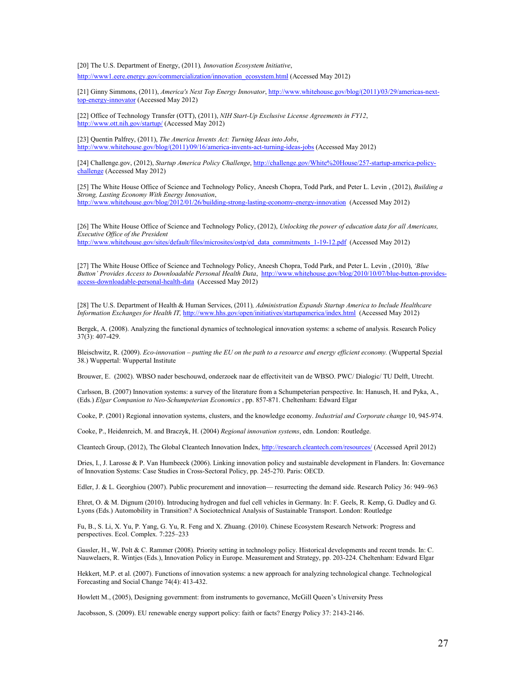[20] The U.S. Department of Energy, (2011)*, Innovation Ecosystem Initiative*, [http://www1.eere.energy.gov/commercialization/innovation\\_ecosystem.html \(](http://www1.eere.energy.gov/commercialization/innovation_ecosystem.html)Accessed May 2012)

[21] Ginny Simmons, (2011), *America's Next Top Energy Innovator*, [http://www.whitehouse.gov/blog/\(2011\)/03/29/americas-next](http://www.whitehouse.gov/blog/2011/03/29/americas-next-top-energy-innovator)[top-energy-innovator \(](http://www.whitehouse.gov/blog/2011/03/29/americas-next-top-energy-innovator)Accessed May 2012)

[22] Office of Technology Transfer (OTT), (2011), *NIH Start-Up Exclusive License Agreements in FY12*, [http://www.ott.nih.gov/startup/ \(](http://www.ott.nih.gov/startup/)Accessed May 2012)

[23] Quentin Palfrey, (2011), *The America Invents Act: Turning Ideas into Jobs*, [http://www.whitehouse.gov/blog/\(2011\)/09/16/america-invents-act-turning-ideas-jobs \(](http://www.whitehouse.gov/blog/2011/09/16/america-invents-act-turning-ideas-jobs)Accessed May 2012)

[24] Challenge.gov, (2012), *Startup America Policy Challenge*, [http://challenge.gov/White%20House/257-startup-america-policy](http://challenge.gov/White%20House/257-startup-america-policy-challenge)[challenge \(](http://challenge.gov/White%20House/257-startup-america-policy-challenge)Accessed May 2012)

[25] The White House Office of Science and Technology Policy, Aneesh Chopra, Todd Park, and Peter L. Levin , (2012), *Building a Strong, Lasting Economy With Energy Innovation*, <http://www.whitehouse.gov/blog/2012/01/26/building-strong-lasting-economy-energy-innovation>(Accessed May 2012)

[26] The White House Office of Science and Technology Policy, (2012), *Unlocking the power of education data for all Americans, Executive Office of the President*  [http://www.whitehouse.gov/sites/default/files/microsites/ostp/ed\\_data\\_commitments\\_1-19-12.pdf](http://www.whitehouse.gov/sites/default/files/microsites/ostp/ed_data_commitments_1-19-12.pdf) (Accessed May 2012)

[27] The White House Office of Science and Technology Policy, Aneesh Chopra, Todd Park, and Peter L. Levin , (2010), *'Blue Button' Provides Access to Downloadable Personal Health Data*, [http://www.whitehouse.gov/blog/2010/10/07/blue-button-provides](http://www.whitehouse.gov/blog/2010/10/07/blue-button-provides-access-downloadable-personal-health-data)[access-downloadable-personal-health-data](http://www.whitehouse.gov/blog/2010/10/07/blue-button-provides-access-downloadable-personal-health-data) (Accessed May 2012)

[28] The U.S. Department of Health & Human Services, (2011)*, Administration Expands Startup America to Include Healthcare Information Exchanges for Health IT,* <http://www.hhs.gov/open/initiatives/startupamerica/index.html>(Accessed May 2012)

Bergek, A. (2008). Analyzing the functional dynamics of technological innovation systems: a scheme of analysis. Research Policy 37(3): 407-429.

Bleischwitz, R. (2009). *Eco-innovation – putting the EU on the path to a resource and energy efficient economy.* (Wuppertal Spezial 38.) Wuppertal: Wuppertal Institute

Brouwer, E. (2002). WBSO nader beschouwd, onderzoek naar de effectiviteit van de WBSO. PWC/ Dialogic/ TU Delft, Utrecht.

Carlsson, B. (2007) Innovation systems: a survey of the literature from a Schumpeterian perspective. In: Hanusch, H. and Pyka, A., (Eds.) *Elgar Companion to Neo-Schumpeterian Economics* , pp. 857-871. Cheltenham: Edward Elgar

Cooke, P. (2001) Regional innovation systems, clusters, and the knowledge economy. *Industrial and Corporate change* 10, 945-974.

Cooke, P., Heidenreich, M. and Braczyk, H. (2004) *Regional innovation systems*, edn. London: Routledge.

Cleantech Group, (2012), The Global Cleantech Innovation Index, [http://research.cleantech.com/resources/ \(](http://research.cleantech.com/resources/)Accessed April 2012)

Dries, I., J. Larosse & P. Van Humbeeck (2006). Linking innovation policy and sustainable development in Flanders. In: Governance of Innovation Systems: Case Studies in Cross-Sectoral Policy, pp. 245-270. Paris: OECD.

Edler, J. & L. Georghiou (2007). Public procurement and innovation— resurrecting the demand side. Research Policy 36: 949–963

Ehret, O. & M. Dignum (2010). Introducing hydrogen and fuel cell vehicles in Germany. In: F. Geels, R. Kemp, G. Dudley and G. Lyons (Eds.) Automobility in Transition? A Sociotechnical Analysis of Sustainable Transport. London: Routledge

Fu, B., S. Li, X. Yu, P. Yang, G. Yu, R. Feng and X. Zhuang. (2010). Chinese Ecosystem Research Network: Progress and perspectives. Ecol. Complex. 7:225–233

Gassler, H., W. Polt & C. Rammer (2008). Priority setting in technology policy. Historical developments and recent trends. In: C. Nauwelaers, R. Wintjes (Eds.), Innovation Policy in Europe. Measurement and Strategy, pp. 203-224. Cheltenham: Edward Elgar

Hekkert, M.P. et al. (2007). Functions of innovation systems: a new approach for analyzing technological change. Technological Forecasting and Social Change 74(4): 413-432.

Howlett M., (2005), Designing government: from instruments to governance, McGill Queen's University Press

Jacobsson, S. (2009). EU renewable energy support policy: faith or facts? Energy Policy 37: 2143-2146.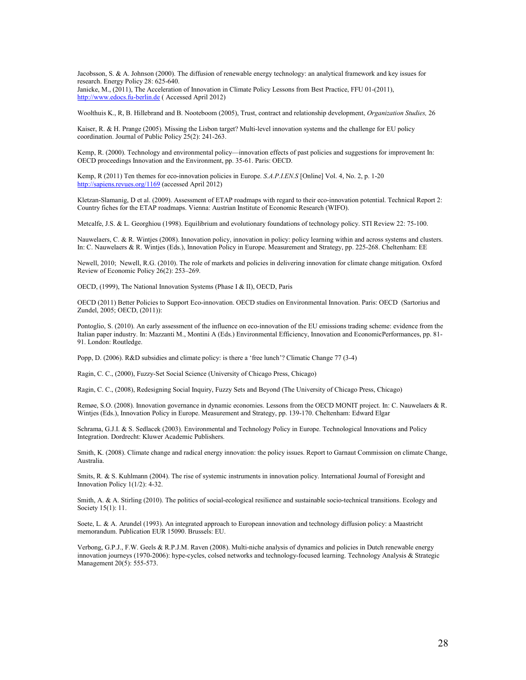Jacobsson, S. & A. Johnson (2000). The diffusion of renewable energy technology: an analytical framework and key issues for research. Energy Policy 28: 625-640.

Janicke, M., (2011), The Acceleration of Innovation in Climate Policy Lessons from Best Practice, FFU 01-(2011), [http://www.edocs.fu-berlin.de](http://www.edocs.fu-berlin.de/) ( Accessed April 2012)

Woolthuis K., R, B. Hillebrand and B. Nooteboom (2005), Trust, contract and relationship development, *Organization Studies,* 26

Kaiser, R. & H. Prange (2005). Missing the Lisbon target? Multi-level innovation systems and the challenge for EU policy coordination. Journal of Public Policy 25(2): 241-263.

Kemp, R. (2000). Technology and environmental policy—innovation effects of past policies and suggestions for improvement In: OECD proceedings Innovation and the Environment, pp. 35-61. Paris: OECD.

Kemp, R (2011) Ten themes for eco-innovation policies in Europe. *S.A.P.I.EN.S* [Online] Vol. 4, No. 2, p. 1-20 [http://sapiens.revues.org/1169 \(](http://sapiens.revues.org/1169)accessed April 2012)

Kletzan-Slamanig, D et al. (2009). Assessment of ETAP roadmaps with regard to their eco-innovation potential. Technical Report 2: Country fiches for the ETAP roadmaps. Vienna: Austrian Institute of Economic Research (WIFO).

Metcalfe, J.S. & L. Georghiou (1998). Equilibrium and evolutionary foundations of technology policy. STI Review 22: 75-100.

Nauwelaers, C. & R. Wintjes (2008). Innovation policy, innovation in policy: policy learning within and across systems and clusters. In: C. Nauwelaers & R. Wintjes (Eds.), Innovation Policy in Europe. Measurement and Strategy, pp. 225-268. Cheltenham: EE

Newell, 2010; Newell, R.G. (2010). The role of markets and policies in delivering innovation for climate change mitigation. Oxford Review of Economic Policy 26(2): 253–269.

OECD, (1999), The National Innovation Systems (Phase I & II), OECD, Paris

OECD (2011) Better Policies to Support Eco-innovation. OECD studies on Environmental Innovation. Paris: OECD (Sartorius and Zundel, 2005; OECD, (2011)):

Pontoglio, S. (2010). An early assessment of the influence on eco-innovation of the EU emissions trading scheme: evidence from the Italian paper industry. In: Mazzanti M., Montini A (Eds.) Environmental Efficiency, Innovation and EconomicPerformances, pp. 81- 91. London: Routledge.

Popp, D. (2006). R&D subsidies and climate policy: is there a 'free lunch'? Climatic Change 77 (3-4)

Ragin, C. C., (2000), Fuzzy-Set Social Science (University of Chicago Press, Chicago)

Ragin, C. C., (2008), Redesigning Social Inquiry, Fuzzy Sets and Beyond (The University of Chicago Press, Chicago)

Remøe, S.O. (2008). Innovation governance in dynamic economies. Lessons from the OECD MONIT project. In: C. Nauwelaers & R. Wintjes (Eds.), Innovation Policy in Europe. Measurement and Strategy, pp. 139-170. Cheltenham: Edward Elgar

Schrama, G.J.I. & S. Sedlacek (2003). Environmental and Technology Policy in Europe. Technological Innovations and Policy Integration. Dordrecht: Kluwer Academic Publishers.

Smith, K. (2008). Climate change and radical energy innovation: the policy issues. Report to Garnaut Commission on climate Change, Australia.

Smits, R. & S. Kuhlmann (2004). The rise of systemic instruments in innovation policy. International Journal of Foresight and Innovation Policy 1(1/2): 4-32.

Smith, A. & A. Stirling (2010). The politics of social-ecological resilience and sustainable socio-technical transitions. Ecology and Society 15(1): 11.

Soete, L. & A. Arundel (1993). An integrated approach to European innovation and technology diffusion policy: a Maastricht memorandum. Publication EUR 15090. Brussels: EU.

Verbong, G.P.J., F.W. Geels & R.P.J.M. Raven (2008). Multi-niche analysis of dynamics and policies in Dutch renewable energy innovation journeys (1970-2006): hype-cycles, colsed networks and technology-focused learning. Technology Analysis & Strategic Management 20(5): 555-573.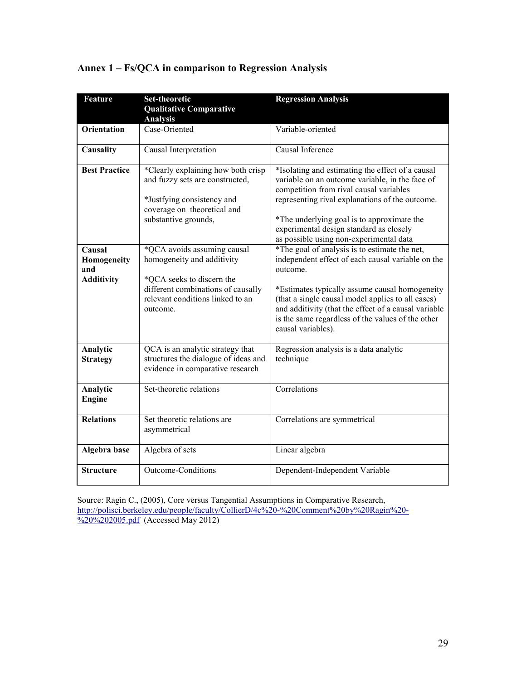| Feature                                                                   | <b>Set-theoretic</b>                                                                                                                                                                                                                                                                                                           | <b>Regression Analysis</b>                                                                                                                                                                                                                                                                                                                                                                                                                                                                                                                                     |
|---------------------------------------------------------------------------|--------------------------------------------------------------------------------------------------------------------------------------------------------------------------------------------------------------------------------------------------------------------------------------------------------------------------------|----------------------------------------------------------------------------------------------------------------------------------------------------------------------------------------------------------------------------------------------------------------------------------------------------------------------------------------------------------------------------------------------------------------------------------------------------------------------------------------------------------------------------------------------------------------|
|                                                                           | <b>Qualitative Comparative</b>                                                                                                                                                                                                                                                                                                 |                                                                                                                                                                                                                                                                                                                                                                                                                                                                                                                                                                |
|                                                                           | <b>Analysis</b>                                                                                                                                                                                                                                                                                                                |                                                                                                                                                                                                                                                                                                                                                                                                                                                                                                                                                                |
| <b>Orientation</b>                                                        | Case-Oriented                                                                                                                                                                                                                                                                                                                  | Variable-oriented                                                                                                                                                                                                                                                                                                                                                                                                                                                                                                                                              |
| Causality                                                                 | Causal Interpretation                                                                                                                                                                                                                                                                                                          | Causal Inference                                                                                                                                                                                                                                                                                                                                                                                                                                                                                                                                               |
| <b>Best Practice</b><br>Causal<br>Homogeneity<br>and<br><b>Additivity</b> | *Clearly explaining how both crisp<br>and fuzzy sets are constructed,<br>*Justfying consistency and<br>coverage on theoretical and<br>substantive grounds,<br>*QCA avoids assuming causal<br>homogeneity and additivity<br>*QCA seeks to discern the<br>different combinations of causally<br>relevant conditions linked to an | *Isolating and estimating the effect of a causal<br>variable on an outcome variable, in the face of<br>competition from rival causal variables<br>representing rival explanations of the outcome.<br>*The underlying goal is to approximate the<br>experimental design standard as closely<br>as possible using non-experimental data<br>*The goal of analysis is to estimate the net,<br>independent effect of each causal variable on the<br>outcome.<br>*Estimates typically assume causal homogeneity<br>(that a single causal model applies to all cases) |
|                                                                           | outcome.                                                                                                                                                                                                                                                                                                                       | and additivity (that the effect of a causal variable<br>is the same regardless of the values of the other<br>causal variables).                                                                                                                                                                                                                                                                                                                                                                                                                                |
| Analytic<br><b>Strategy</b>                                               | QCA is an analytic strategy that<br>structures the dialogue of ideas and<br>evidence in comparative research                                                                                                                                                                                                                   | Regression analysis is a data analytic<br>technique                                                                                                                                                                                                                                                                                                                                                                                                                                                                                                            |
| Analytic<br><b>Engine</b>                                                 | Set-theoretic relations                                                                                                                                                                                                                                                                                                        | Correlations                                                                                                                                                                                                                                                                                                                                                                                                                                                                                                                                                   |
| <b>Relations</b>                                                          | Set theoretic relations are<br>asymmetrical                                                                                                                                                                                                                                                                                    | Correlations are symmetrical                                                                                                                                                                                                                                                                                                                                                                                                                                                                                                                                   |
| Algebra base                                                              | Algebra of sets                                                                                                                                                                                                                                                                                                                | Linear algebra                                                                                                                                                                                                                                                                                                                                                                                                                                                                                                                                                 |
| <b>Structure</b>                                                          | Outcome-Conditions                                                                                                                                                                                                                                                                                                             | Dependent-Independent Variable                                                                                                                                                                                                                                                                                                                                                                                                                                                                                                                                 |

# **Annex 1 – Fs/QCA in comparison to Regression Analysis**

Source: Ragin C., (2005), Core versus Tangential Assumptions in Comparative Research, [http://polisci.berkeley.edu/people/faculty/CollierD/4c%20-%20Comment%20by%20Ragin%20-](http://polisci.berkeley.edu/people/faculty/CollierD/4c%20-%20Comment%20by%20Ragin%20-%20%202005.pdf) [%20%202005.pdf](http://polisci.berkeley.edu/people/faculty/CollierD/4c%20-%20Comment%20by%20Ragin%20-%20%202005.pdf) (Accessed May 2012)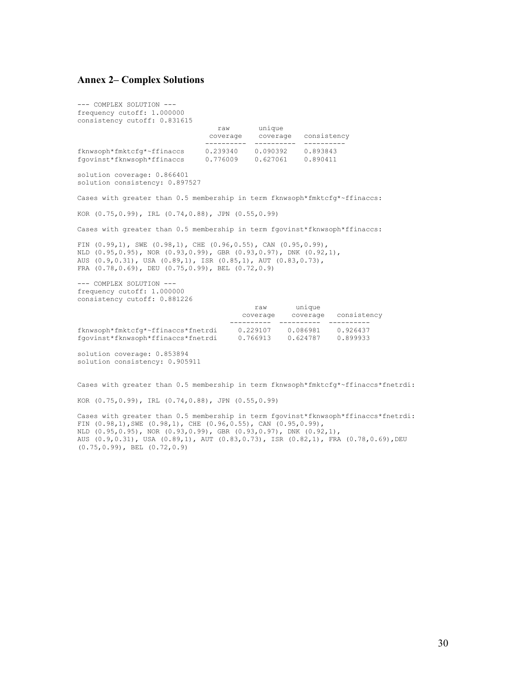#### **Annex 2– Complex Solutions**

--- COMPLEX SOLUTION -- frequency cutoff: 1.000000 consistency cutoff: 0.831615

raw unique

 coverage coverage consistency ---------- ---------- --------- fknwsoph\*fmktcfg\*~ffinaccs 0.239340 0.090392 0.893843 fgovinst\*fknwsoph\*ffinaccs 0.776009 0.627061 0.890411 solution coverage: 0.866401 solution consistency: 0.897527 Cases with greater than 0.5 membership in term fknwsoph\*fmktcfg\*~ffinaccs: KOR (0.75,0.99), IRL (0.74,0.88), JPN (0.55,0.99) Cases with greater than 0.5 membership in term fgovinst\*fknwsoph\*ffinaccs: FIN (0.99,1), SWE (0.98,1), CHE (0.96,0.55), CAN (0.95,0.99), NLD (0.95,0.95), NOR (0.93,0.99), GBR (0.93,0.97), DNK (0.92,1), AUS (0.9,0.31), USA (0.89,1), ISR (0.85,1), AUT (0.83,0.73), FRA (0.78,0.69), DEU (0.75,0.99), BEL (0.72,0.9) --- COMPLEX SOLUTION -- frequency cutoff: 1.000000 consistency cutoff: 0.881226 raw unique coverage coverage consistency ---------- ---------- --------- fknwsoph\*fmktcfg\*~ffinaccs\*fnetrdi 0.229107 0.086981 0.926437 fgovinst\*fknwsoph\*ffinaccs\*fnetrdi solution coverage: 0.853894

solution consistency: 0.905911

Cases with greater than 0.5 membership in term fknwsoph\*fmktcfg\*~ffinaccs\*fnetrdi:

KOR (0.75,0.99), IRL (0.74,0.88), JPN (0.55,0.99)

Cases with greater than 0.5 membership in term fgovinst\*fknwsoph\*ffinaccs\*fnetrdi: FIN  $(0.98,1)$ , SWE  $(0.98,1)$ , CHE  $(0.96, 0.55)$ , CAN  $(0.95, 0.99)$ , NLD (0.95,0.95), NOR (0.93,0.99), GBR (0.93,0.97), DNK (0.92,1), AUS (0.9,0.31), USA (0.89,1), AUT (0.83,0.73), ISR (0.82,1), FRA (0.78,0.69),DEU (0.75,0.99), BEL (0.72,0.9)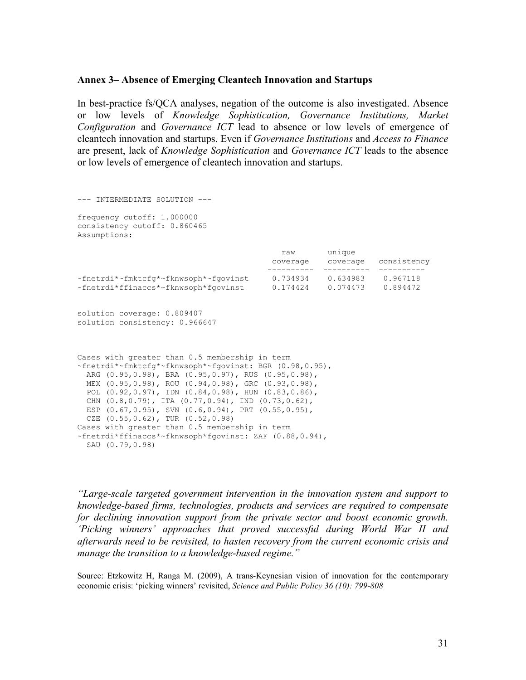#### **Annex 3– Absence of Emerging Cleantech Innovation and Startups**

In best-practice fs/QCA analyses, negation of the outcome is also investigated. Absence or low levels of *Knowledge Sophistication, Governance Institutions, Market Configuration* and *Governance ICT* lead to absence or low levels of emergence of cleantech innovation and startups. Even if *Governance Institutions* and *Access to Finance* are present, lack of *Knowledge Sophistication* and *Governance ICT* leads to the absence or low levels of emergence of cleantech innovation and startups.

```
--- INTERMEDIATE SOLUTION --- 
frequency cutoff: 1.000000 
consistency cutoff: 0.860465 
Assumptions: 
                                             raw unique 
                                           coverage coverage consistency 
                                           ---------- ---------- ---------- 
~fnetrdi*~fmktcfg*~fknwsoph*~fgovinst 0.734934 0.634983 0.967118 
~fnetrdi*ffinaccs*~fknwsoph*fgovinst
solution coverage: 0.809407 
solution consistency: 0.966647 
Cases with greater than 0.5 membership in term 
~fnetrdi*~fmktcfg*~fknwsoph*~fgovinst: BGR (0.98,0.95), 
  ARG (0.95,0.98), BRA (0.95,0.97), RUS (0.95,0.98), 
  MEX (0.95,0.98), ROU (0.94,0.98), GRC (0.93,0.98), 
  POL (0.92,0.97), IDN (0.84,0.98), HUN (0.83,0.86), 
  CHN (0.8,0.79), ITA (0.77,0.94), IND (0.73,0.62), 
  ESP (0.67,0.95), SVN (0.6,0.94), PRT (0.55,0.95), 
  CZE (0.55,0.62), TUR (0.52,0.98) 
Cases with greater than 0.5 membership in term 
~fnetrdi*ffinaccs*~fknwsoph*fgovinst: ZAF (0.88,0.94), 
  SAU (0.79,0.98)
```
*"Large-scale targeted government intervention in the innovation system and support to knowledge-based firms, technologies, products and services are required to compensate for declining innovation support from the private sector and boost economic growth. 'Picking winners' approaches that proved successful during World War II and afterwards need to be revisited, to hasten recovery from the current economic crisis and manage the transition to a knowledge-based regime."*

Source: Etzkowitz H, Ranga M. (2009), A trans-Keynesian vision of innovation for the contemporary economic crisis: 'picking winners' revisited, *Science and Public Policy 36 (10): 799-808*